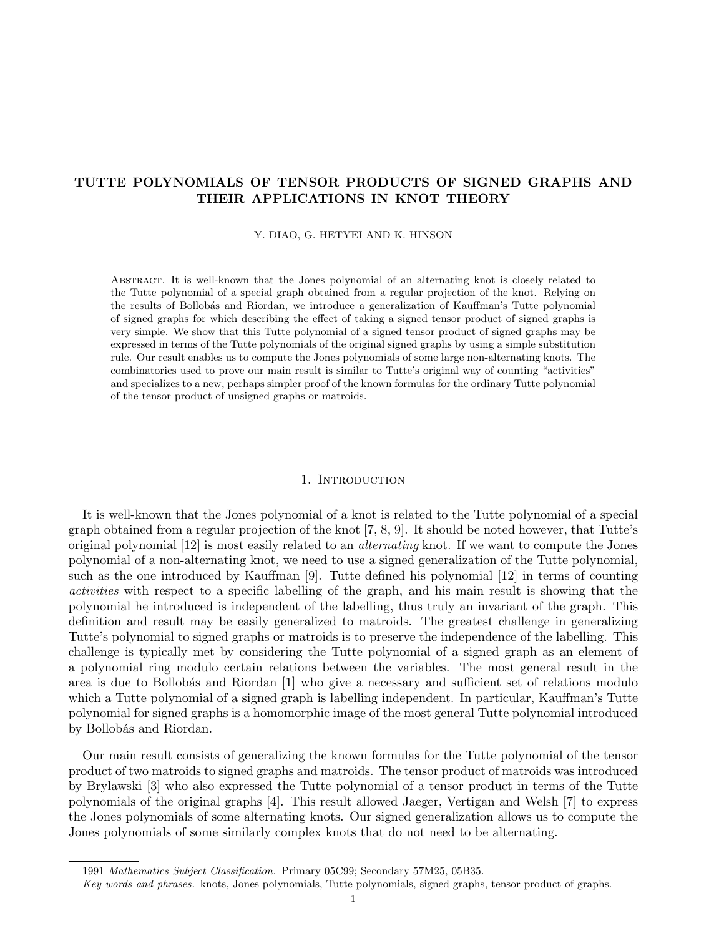# TUTTE POLYNOMIALS OF TENSOR PRODUCTS OF SIGNED GRAPHS AND THEIR APPLICATIONS IN KNOT THEORY

Y. DIAO, G. HETYEI AND K. HINSON

Abstract. It is well-known that the Jones polynomial of an alternating knot is closely related to the Tutte polynomial of a special graph obtained from a regular projection of the knot. Relying on the results of Bollobás and Riordan, we introduce a generalization of Kauffman's Tutte polynomial of signed graphs for which describing the effect of taking a signed tensor product of signed graphs is very simple. We show that this Tutte polynomial of a signed tensor product of signed graphs may be expressed in terms of the Tutte polynomials of the original signed graphs by using a simple substitution rule. Our result enables us to compute the Jones polynomials of some large non-alternating knots. The combinatorics used to prove our main result is similar to Tutte's original way of counting "activities" and specializes to a new, perhaps simpler proof of the known formulas for the ordinary Tutte polynomial of the tensor product of unsigned graphs or matroids.

## 1. INTRODUCTION

It is well-known that the Jones polynomial of a knot is related to the Tutte polynomial of a special graph obtained from a regular projection of the knot [7, 8, 9]. It should be noted however, that Tutte's original polynomial [12] is most easily related to an alternating knot. If we want to compute the Jones polynomial of a non-alternating knot, we need to use a signed generalization of the Tutte polynomial, such as the one introduced by Kauffman [9]. Tutte defined his polynomial [12] in terms of counting activities with respect to a specific labelling of the graph, and his main result is showing that the polynomial he introduced is independent of the labelling, thus truly an invariant of the graph. This definition and result may be easily generalized to matroids. The greatest challenge in generalizing Tutte's polynomial to signed graphs or matroids is to preserve the independence of the labelling. This challenge is typically met by considering the Tutte polynomial of a signed graph as an element of a polynomial ring modulo certain relations between the variables. The most general result in the area is due to Bollobás and Riordan [1] who give a necessary and sufficient set of relations modulo which a Tutte polynomial of a signed graph is labelling independent. In particular, Kauffman's Tutte polynomial for signed graphs is a homomorphic image of the most general Tutte polynomial introduced by Bollobás and Riordan.

Our main result consists of generalizing the known formulas for the Tutte polynomial of the tensor product of two matroids to signed graphs and matroids. The tensor product of matroids was introduced by Brylawski [3] who also expressed the Tutte polynomial of a tensor product in terms of the Tutte polynomials of the original graphs [4]. This result allowed Jaeger, Vertigan and Welsh [7] to express the Jones polynomials of some alternating knots. Our signed generalization allows us to compute the Jones polynomials of some similarly complex knots that do not need to be alternating.

<sup>1991</sup> Mathematics Subject Classification. Primary 05C99; Secondary 57M25, 05B35.

Key words and phrases. knots, Jones polynomials, Tutte polynomials, signed graphs, tensor product of graphs.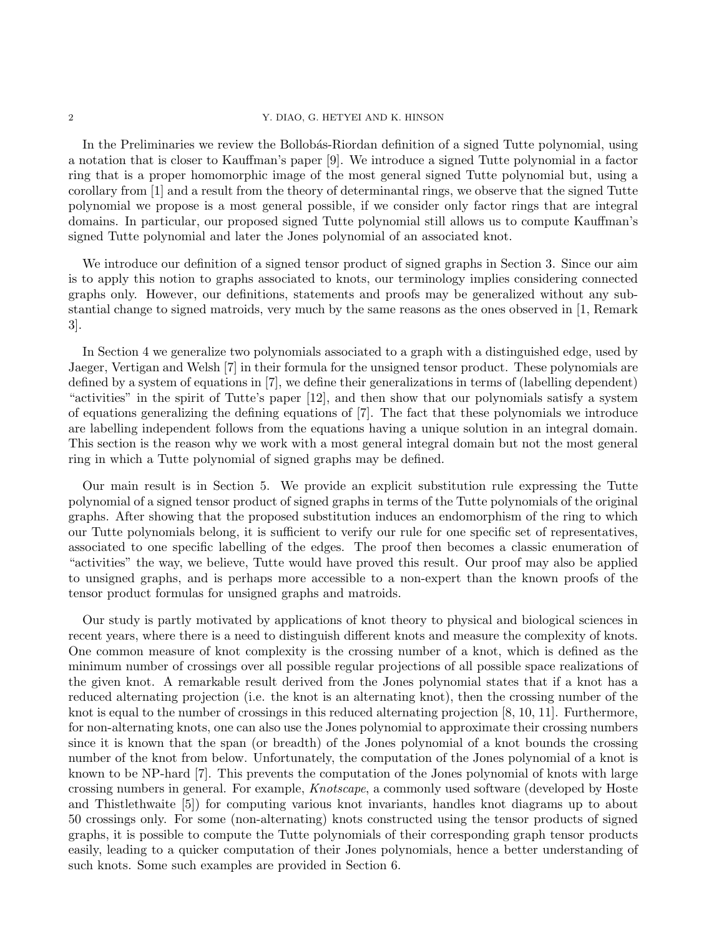### 2 Y. DIAO, G. HETYEI AND K. HINSON

In the Preliminaries we review the Bollobás-Riordan definition of a signed Tutte polynomial, using a notation that is closer to Kauffman's paper [9]. We introduce a signed Tutte polynomial in a factor ring that is a proper homomorphic image of the most general signed Tutte polynomial but, using a corollary from [1] and a result from the theory of determinantal rings, we observe that the signed Tutte polynomial we propose is a most general possible, if we consider only factor rings that are integral domains. In particular, our proposed signed Tutte polynomial still allows us to compute Kauffman's signed Tutte polynomial and later the Jones polynomial of an associated knot.

We introduce our definition of a signed tensor product of signed graphs in Section 3. Since our aim is to apply this notion to graphs associated to knots, our terminology implies considering connected graphs only. However, our definitions, statements and proofs may be generalized without any substantial change to signed matroids, very much by the same reasons as the ones observed in [1, Remark 3].

In Section 4 we generalize two polynomials associated to a graph with a distinguished edge, used by Jaeger, Vertigan and Welsh [7] in their formula for the unsigned tensor product. These polynomials are defined by a system of equations in [7], we define their generalizations in terms of (labelling dependent) "activities" in the spirit of Tutte's paper [12], and then show that our polynomials satisfy a system of equations generalizing the defining equations of [7]. The fact that these polynomials we introduce are labelling independent follows from the equations having a unique solution in an integral domain. This section is the reason why we work with a most general integral domain but not the most general ring in which a Tutte polynomial of signed graphs may be defined.

Our main result is in Section 5. We provide an explicit substitution rule expressing the Tutte polynomial of a signed tensor product of signed graphs in terms of the Tutte polynomials of the original graphs. After showing that the proposed substitution induces an endomorphism of the ring to which our Tutte polynomials belong, it is sufficient to verify our rule for one specific set of representatives, associated to one specific labelling of the edges. The proof then becomes a classic enumeration of "activities" the way, we believe, Tutte would have proved this result. Our proof may also be applied to unsigned graphs, and is perhaps more accessible to a non-expert than the known proofs of the tensor product formulas for unsigned graphs and matroids.

Our study is partly motivated by applications of knot theory to physical and biological sciences in recent years, where there is a need to distinguish different knots and measure the complexity of knots. One common measure of knot complexity is the crossing number of a knot, which is defined as the minimum number of crossings over all possible regular projections of all possible space realizations of the given knot. A remarkable result derived from the Jones polynomial states that if a knot has a reduced alternating projection (i.e. the knot is an alternating knot), then the crossing number of the knot is equal to the number of crossings in this reduced alternating projection [8, 10, 11]. Furthermore, for non-alternating knots, one can also use the Jones polynomial to approximate their crossing numbers since it is known that the span (or breadth) of the Jones polynomial of a knot bounds the crossing number of the knot from below. Unfortunately, the computation of the Jones polynomial of a knot is known to be NP-hard [7]. This prevents the computation of the Jones polynomial of knots with large crossing numbers in general. For example, Knotscape, a commonly used software (developed by Hoste and Thistlethwaite [5]) for computing various knot invariants, handles knot diagrams up to about 50 crossings only. For some (non-alternating) knots constructed using the tensor products of signed graphs, it is possible to compute the Tutte polynomials of their corresponding graph tensor products easily, leading to a quicker computation of their Jones polynomials, hence a better understanding of such knots. Some such examples are provided in Section 6.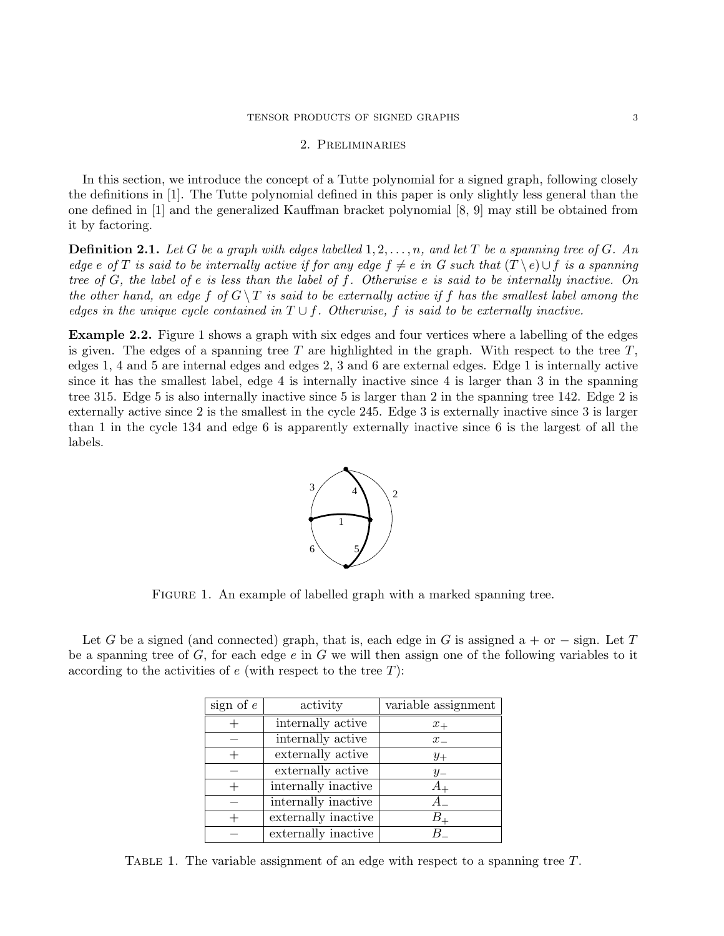## 2. Preliminaries

In this section, we introduce the concept of a Tutte polynomial for a signed graph, following closely the definitions in [1]. The Tutte polynomial defined in this paper is only slightly less general than the one defined in [1] and the generalized Kauffman bracket polynomial [8, 9] may still be obtained from it by factoring.

**Definition 2.1.** Let G be a graph with edges labelled  $1, 2, \ldots, n$ , and let T be a spanning tree of G. An edge e of T is said to be internally active if for any edge  $f \neq e$  in G such that  $(T \setminus e) \cup f$  is a spanning tree of  $G$ , the label of e is less than the label of f. Otherwise e is said to be internally inactive. On the other hand, an edge f of  $G \setminus T$  is said to be externally active if f has the smallest label among the edges in the unique cycle contained in  $T \cup f$ . Otherwise, f is said to be externally inactive.

Example 2.2. Figure 1 shows a graph with six edges and four vertices where a labelling of the edges is given. The edges of a spanning tree  $T$  are highlighted in the graph. With respect to the tree  $T$ , edges 1, 4 and 5 are internal edges and edges 2, 3 and 6 are external edges. Edge 1 is internally active since it has the smallest label, edge 4 is internally inactive since 4 is larger than 3 in the spanning tree 315. Edge 5 is also internally inactive since 5 is larger than 2 in the spanning tree 142. Edge 2 is externally active since 2 is the smallest in the cycle 245. Edge 3 is externally inactive since 3 is larger than 1 in the cycle 134 and edge 6 is apparently externally inactive since 6 is the largest of all the labels.



FIGURE 1. An example of labelled graph with a marked spanning tree.

Let G be a signed (and connected) graph, that is, each edge in G is assigned a + or  $-$  sign. Let T be a spanning tree of  $G$ , for each edge  $e$  in  $G$  we will then assign one of the following variables to it according to the activities of  $e$  (with respect to the tree  $T$ ):

| sign of $e$ | activity            | variable assignment |
|-------------|---------------------|---------------------|
|             | internally active   | $x_{+}$             |
|             | internally active   | $x_{-}$             |
|             | externally active   | $y_+$               |
|             | externally active   | $y_{-}$             |
|             | internally inactive |                     |
|             | internally inactive |                     |
|             | externally inactive |                     |
|             | externally inactive |                     |

TABLE 1. The variable assignment of an edge with respect to a spanning tree  $T$ .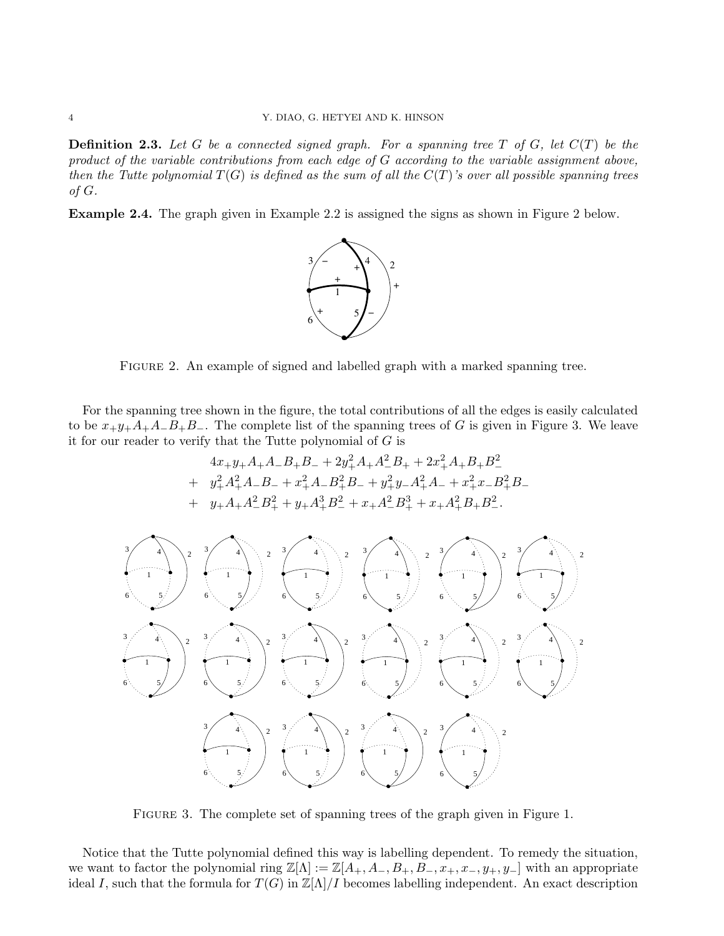**Definition 2.3.** Let G be a connected signed graph. For a spanning tree T of G, let  $C(T)$  be the product of the variable contributions from each edge of G according to the variable assignment above, then the Tutte polynomial  $T(G)$  is defined as the sum of all the  $C(T)$ 's over all possible spanning trees of  $G$ .

Example 2.4. The graph given in Example 2.2 is assigned the signs as shown in Figure 2 below.



Figure 2. An example of signed and labelled graph with a marked spanning tree.

For the spanning tree shown in the figure, the total contributions of all the edges is easily calculated to be  $x+y+A+A-B+B$ -. The complete list of the spanning trees of G is given in Figure 3. We leave it for our reader to verify that the Tutte polynomial of  $G$  is

$$
4x_+y_+A_+A_-B_+B_-+2y_+^2A_+A_-^2B_+ + 2x_+^2A_+B_+B_-^2
$$
  
+  $y_+^2A_+^2A_-B_-+x_+^2A_-B_+^2B_-+y_+^2y_-A_+^2A_-+x_+^2x_-B_+^2B_-$   
+  $y_+A_+A_-^2B_+^2+y_+A_+^3B_-^2+x_+A_-^2B_+^3+x_+A_+^2B_+B_-^2.$ 



Figure 3. The complete set of spanning trees of the graph given in Figure 1.

Notice that the Tutte polynomial defined this way is labelling dependent. To remedy the situation, we want to factor the polynomial ring  $\mathbb{Z}[\Lambda] := \mathbb{Z}[A_+, A_-, B_+, B_-, x_+, x_-, y_+, y_-]$  with an appropriate ideal I, such that the formula for  $T(G)$  in  $\mathbb{Z}[\Lambda]/I$  becomes labelling independent. An exact description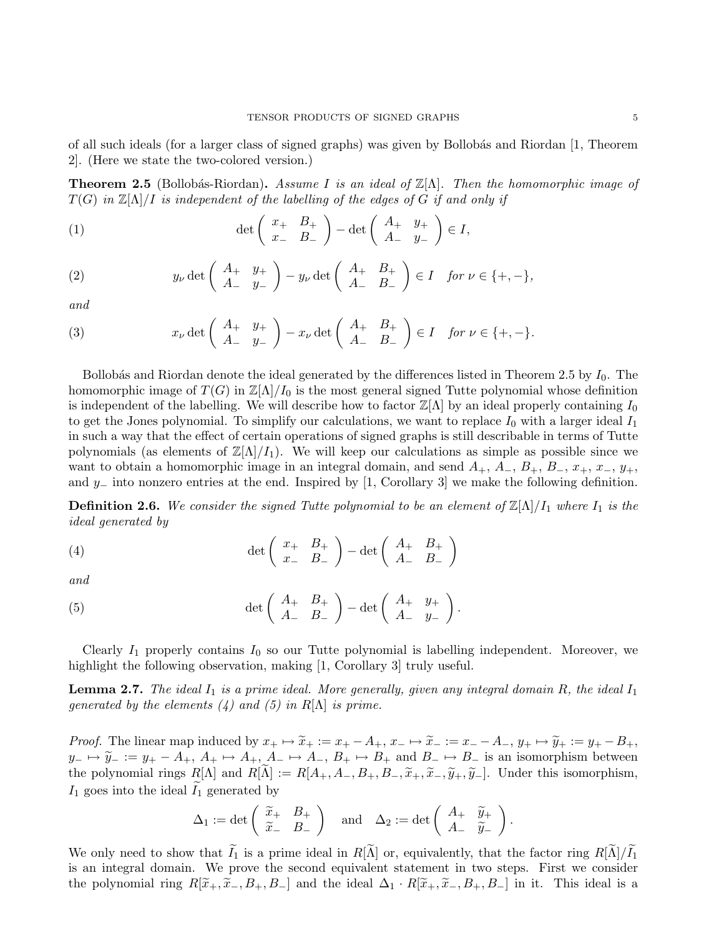of all such ideals (for a larger class of signed graphs) was given by Bollobás and Riordan [1, Theorem 2]. (Here we state the two-colored version.)

**Theorem 2.5** (Bollobás-Riordan). Assume I is an ideal of  $\mathbb{Z}[\Lambda]$ . Then the homomorphic image of  $T(G)$  in  $\mathbb{Z}[\Lambda]/I$  is independent of the labelling of the edges of G if and only if

(1) 
$$
\det \left( \begin{array}{cc} x_+ & B_+ \\ x_- & B_- \end{array} \right) - \det \left( \begin{array}{cc} A_+ & y_+ \\ A_- & y_- \end{array} \right) \in I,
$$

(2) 
$$
y_{\nu} \det \left( \begin{array}{cc} A_+ & y_+ \\ A_- & y_- \end{array} \right) - y_{\nu} \det \left( \begin{array}{cc} A_+ & B_+ \\ A_- & B_- \end{array} \right) \in I \quad \text{for } \nu \in \{+, -\},
$$

and

(3) 
$$
x_{\nu} \det \left( \begin{array}{cc} A_+ & y_+ \\ A_- & y_- \end{array} \right) - x_{\nu} \det \left( \begin{array}{cc} A_+ & B_+ \\ A_- & B_- \end{array} \right) \in I \quad \text{for } \nu \in \{+, -\}.
$$

Bollobás and Riordan denote the ideal generated by the differences listed in Theorem 2.5 by  $I_0$ . The homomorphic image of  $T(G)$  in  $\mathbb{Z}[\Lambda]/I_0$  is the most general signed Tutte polynomial whose definition is independent of the labelling. We will describe how to factor  $\mathbb{Z}[\Lambda]$  by an ideal properly containing  $I_0$ to get the Jones polynomial. To simplify our calculations, we want to replace  $I_0$  with a larger ideal  $I_1$ in such a way that the effect of certain operations of signed graphs is still describable in terms of Tutte polynomials (as elements of  $\mathbb{Z}|\Lambda|/I_1$ ). We will keep our calculations as simple as possible since we want to obtain a homomorphic image in an integral domain, and send  $A_+$ ,  $A_-, B_+, B_-, x_+$ ,  $x_-, y_+$ , and y– into nonzero entries at the end. Inspired by [1, Corollary 3] we make the following definition.

**Definition 2.6.** We consider the signed Tutte polynomial to be an element of  $\mathbb{Z}[\Lambda]/I_1$  where  $I_1$  is the ideal generated by

(4) 
$$
\det \left( \begin{array}{cc} x_+ & B_+ \\ x_- & B_- \end{array} \right) - \det \left( \begin{array}{cc} A_+ & B_+ \\ A_- & B_- \end{array} \right)
$$

and

(5) 
$$
\det \left( \begin{array}{cc} A_+ & B_+ \\ A_- & B_- \end{array} \right) - \det \left( \begin{array}{cc} A_+ & y_+ \\ A_- & y_- \end{array} \right).
$$

Clearly  $I_1$  properly contains  $I_0$  so our Tutte polynomial is labelling independent. Moreover, we highlight the following observation, making [1, Corollary 3] truly useful.

**Lemma 2.7.** The ideal  $I_1$  is a prime ideal. More generally, given any integral domain R, the ideal  $I_1$ generated by the elements  $(4)$  and  $(5)$  in R[ $\Lambda$ ] is prime.

*Proof.* The linear map induced by  $x_+ \mapsto \tilde{x}_+ := x_+ - A_+$ ,  $x_- \mapsto \tilde{x}_- := x_- - A_-,$   $y_+ \mapsto \tilde{y}_+ := y_+ - B_+$ ,  $y_-\mapsto \tilde{y}_- := y_+ - A_+, A_+\mapsto A_+, A_-\mapsto A_-, B_+\mapsto B_+$  and  $B_-\mapsto B_-$  is an isomorphism between the polynomial rings  $R[\Lambda]$  and  $R[\tilde{\Lambda}] := R[A_+, A_-, B_+, B_-, \tilde{x}_+, \tilde{x}_-, \tilde{y}_+, \tilde{y}_-]$ . Under this isomorphism,  $I_1$  goes into the ideal  $I_1$  generated by

$$
\Delta_1 := \det \left( \begin{array}{cc} \widetilde{x}_+ & B_+ \\ \widetilde{x}_- & B_- \end{array} \right) \quad \text{and} \quad \Delta_2 := \det \left( \begin{array}{cc} A_+ & \widetilde{y}_+ \\ A_- & \widetilde{y}_- \end{array} \right).
$$

We only need to show that  $\tilde{I}_1$  is a prime ideal in  $R[\tilde{\Lambda}]$  or, equivalently, that the factor ring  $R[\tilde{\Lambda}]/\tilde{I}_1$ is an integral domain. We prove the second equivalent statement in two steps. First we consider the polynomial ring  $R[\tilde{x}_+,\tilde{x}_-,B_+,B_-]$  and the ideal  $\Delta_1 \cdot R[\tilde{x}_+,\tilde{x}_-,B_+,B_-]$  in it. This ideal is a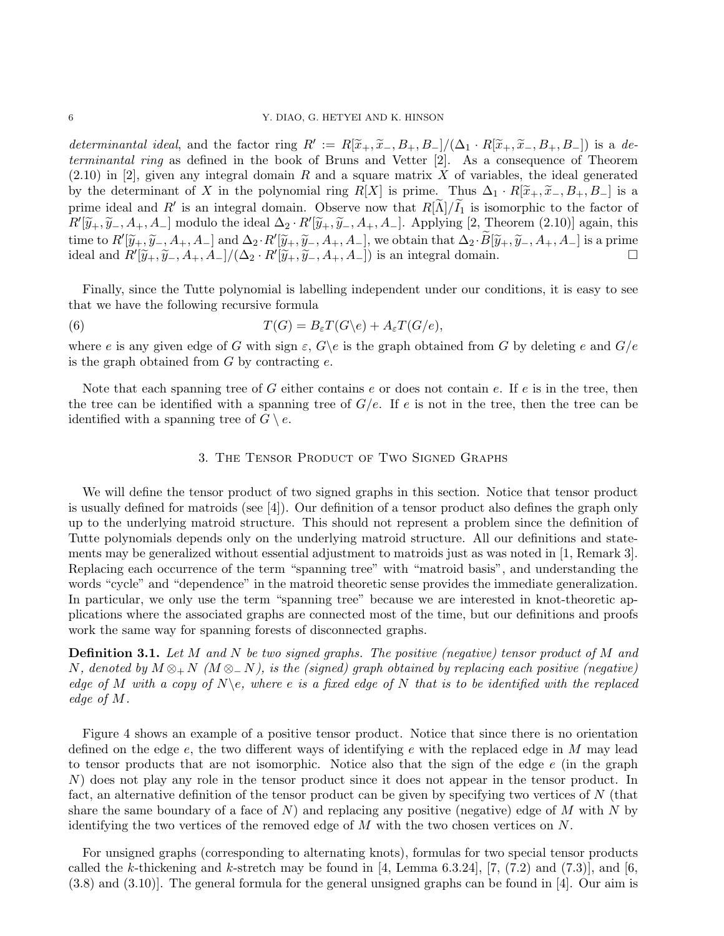determinantal ideal, and the factor ring  $R' := R[\tilde{x}_+, \tilde{x}_-, B_+, B_-]/(\Delta_1 \cdot R[\tilde{x}_+, \tilde{x}_-, B_+, B_-])$  is a de-<br>terminantal ring as defined in the book of Bruns and Vetter [9]. As a consequence of Theorem terminantal ring as defined in the book of Bruns and Vetter [2]. As a consequence of Theorem  $(2.10)$  in [2], given any integral domain R and a square matrix X of variables, the ideal generated by the determinant of X in the polynomial ring R[X] is prime. Thus  $\Delta_1 \cdot R[\tilde{x}_+,\tilde{x}_-,B_+,B_-]$  is a prime ideal and R' is an integral domain. Observe now that  $R[\tilde{\Lambda}]/\tilde{I}_1$  is isomorphic to the factor of  $R'[\widetilde{y}_+,\widetilde{y}_-,A_+,A_-]$  modulo the ideal  $\Delta_2 \cdot R'[\widetilde{y}_+,\widetilde{y}_-,A_+,A_-]$ . Applying [2, Theorem (2.10)] again, this time to  $R'[\widetilde{y}_+,\widetilde{y}_-,A_+,A_-]$  and  $\Delta_2 \cdot R'[\widetilde{y}_+,\widetilde{y}_-,A_+,A_-]$ , we obtain that  $\Delta_2 \cdot \widetilde{B}[\widetilde{y}_+,\widetilde{y}_-,A_+,A_-]$  is a prime ideal and  $R'[\widetilde{y}_+,\widetilde{y}_-,A_+,A_-]$  is a prime ideal and  $R'[\tilde{y}_+,\tilde{y}_-,A_+,A_-]/(\Delta_2 \cdot R'[\tilde{y}_+,\tilde{y}_-,A_+,A_-])$  is an integral domain.

Finally, since the Tutte polynomial is labelling independent under our conditions, it is easy to see that we have the following recursive formula

(6) 
$$
T(G) = B_{\varepsilon}T(G\backslash e) + A_{\varepsilon}T(G/e),
$$

where e is any given edge of G with sign  $\varepsilon$ ,  $G\$ e is the graph obtained from G by deleting e and  $G/e$ is the graph obtained from  $G$  by contracting  $e$ .

Note that each spanning tree of  $G$  either contains  $e$  or does not contain  $e$ . If  $e$  is in the tree, then the tree can be identified with a spanning tree of  $G/e$ . If e is not in the tree, then the tree can be identified with a spanning tree of  $G \setminus e$ .

## 3. The Tensor Product of Two Signed Graphs

We will define the tensor product of two signed graphs in this section. Notice that tensor product is usually defined for matroids (see [4]). Our definition of a tensor product also defines the graph only up to the underlying matroid structure. This should not represent a problem since the definition of Tutte polynomials depends only on the underlying matroid structure. All our definitions and statements may be generalized without essential adjustment to matroids just as was noted in [1, Remark 3]. Replacing each occurrence of the term "spanning tree" with "matroid basis", and understanding the words "cycle" and "dependence" in the matroid theoretic sense provides the immediate generalization. In particular, we only use the term "spanning tree" because we are interested in knot-theoretic applications where the associated graphs are connected most of the time, but our definitions and proofs work the same way for spanning forests of disconnected graphs.

**Definition 3.1.** Let M and N be two signed graphs. The positive (negative) tensor product of M and N, denoted by  $M \otimes_+ N$  ( $M \otimes_- N$ ), is the (signed) graph obtained by replacing each positive (negative) edge of M with a copy of  $N\$ e, where e is a fixed edge of N that is to be identified with the replaced edge of M.

Figure 4 shows an example of a positive tensor product. Notice that since there is no orientation defined on the edge  $e$ , the two different ways of identifying  $e$  with the replaced edge in M may lead to tensor products that are not isomorphic. Notice also that the sign of the edge e (in the graph N) does not play any role in the tensor product since it does not appear in the tensor product. In fact, an alternative definition of the tensor product can be given by specifying two vertices of N (that share the same boundary of a face of  $N$ ) and replacing any positive (negative) edge of  $M$  with  $N$  by identifying the two vertices of the removed edge of  $M$  with the two chosen vertices on  $N$ .

For unsigned graphs (corresponding to alternating knots), formulas for two special tensor products called the k-thickening and k-stretch may be found in [4, Lemma 6.3.24], [7,  $(7.2)$  and  $(7.3)$ ], and [6, (3.8) and (3.10)]. The general formula for the general unsigned graphs can be found in [4]. Our aim is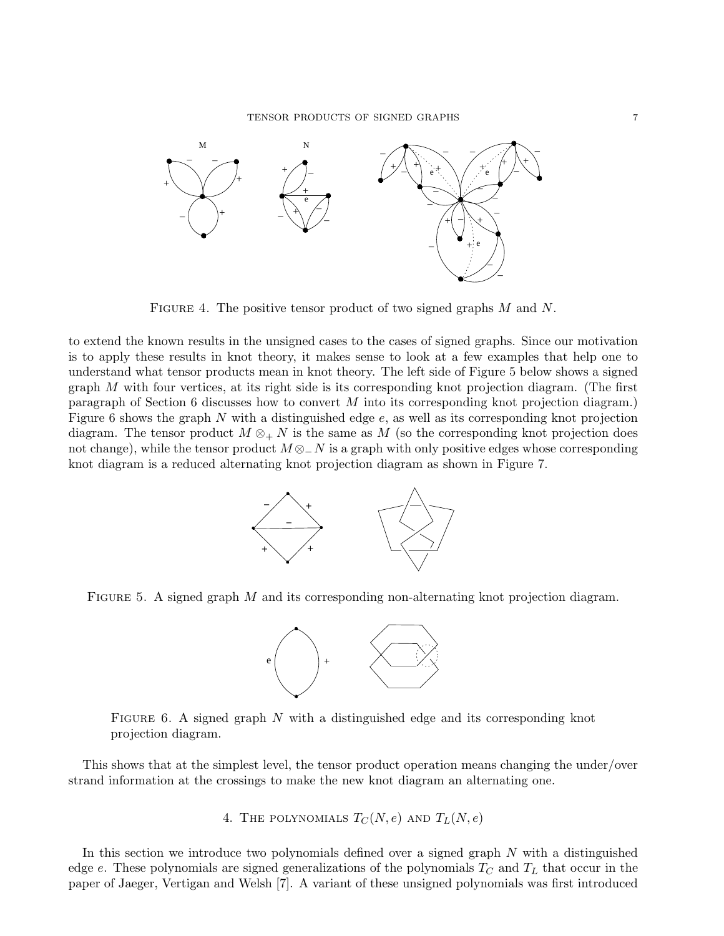

FIGURE 4. The positive tensor product of two signed graphs  $M$  and  $N$ .

to extend the known results in the unsigned cases to the cases of signed graphs. Since our motivation is to apply these results in knot theory, it makes sense to look at a few examples that help one to understand what tensor products mean in knot theory. The left side of Figure 5 below shows a signed graph  $M$  with four vertices, at its right side is its corresponding knot projection diagram. (The first paragraph of Section 6 discusses how to convert M into its corresponding knot projection diagram.) Figure 6 shows the graph  $N$  with a distinguished edge  $e$ , as well as its corresponding knot projection diagram. The tensor product  $M \otimes_{+} N$  is the same as M (so the corresponding knot projection does not change), while the tensor product  $M \otimes_N N$  is a graph with only positive edges whose corresponding knot diagram is a reduced alternating knot projection diagram as shown in Figure 7.



FIGURE 5. A signed graph  $M$  and its corresponding non-alternating knot projection diagram.



FIGURE 6. A signed graph N with a distinguished edge and its corresponding knot projection diagram.

This shows that at the simplest level, the tensor product operation means changing the under/over strand information at the crossings to make the new knot diagram an alternating one.

4. THE POLYNOMIALS  $T_C(N, e)$  and  $T_L(N, e)$ 

In this section we introduce two polynomials defined over a signed graph  $N$  with a distinguished edge e. These polynomials are signed generalizations of the polynomials  $T_C$  and  $T_L$  that occur in the paper of Jaeger, Vertigan and Welsh [7]. A variant of these unsigned polynomials was first introduced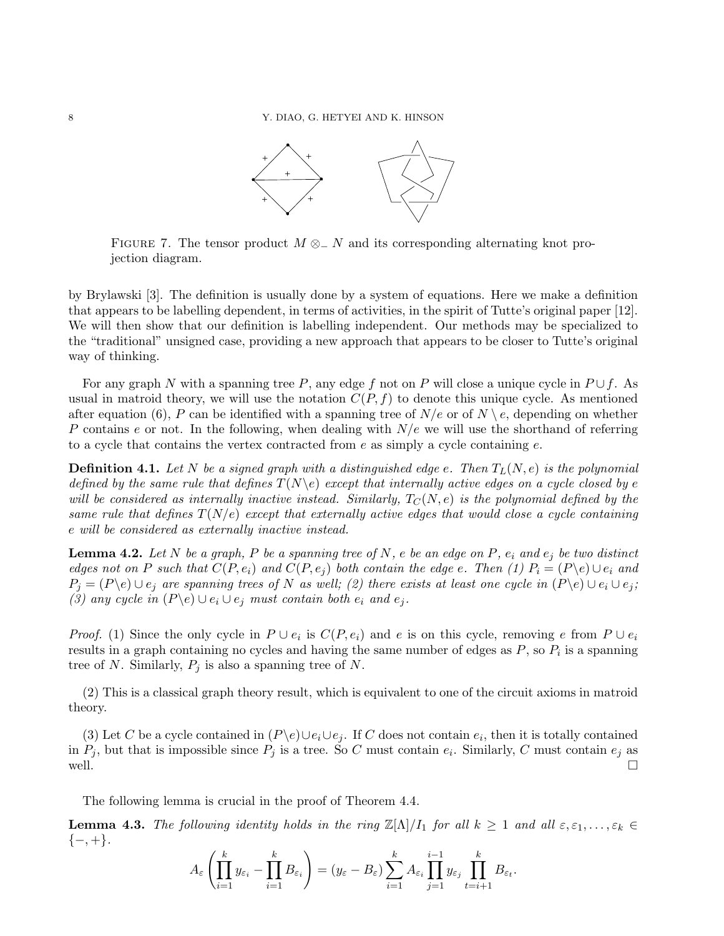

FIGURE 7. The tensor product  $M \otimes_N N$  and its corresponding alternating knot projection diagram.

by Brylawski [3]. The definition is usually done by a system of equations. Here we make a definition that appears to be labelling dependent, in terms of activities, in the spirit of Tutte's original paper [12]. We will then show that our definition is labelling independent. Our methods may be specialized to the "traditional" unsigned case, providing a new approach that appears to be closer to Tutte's original way of thinking.

For any graph N with a spanning tree P, any edge f not on P will close a unique cycle in  $P \cup f$ . As usual in matroid theory, we will use the notation  $C(P, f)$  to denote this unique cycle. As mentioned after equation (6), P can be identified with a spanning tree of  $N/e$  or of  $N \setminus e$ , depending on whether P contains e or not. In the following, when dealing with  $N/e$  we will use the shorthand of referring to a cycle that contains the vertex contracted from  $e$  as simply a cycle containing  $e$ .

**Definition 4.1.** Let N be a signed graph with a distinguished edge e. Then  $T_L(N, e)$  is the polynomial defined by the same rule that defines  $T(N\backslash e)$  except that internally active edges on a cycle closed by e will be considered as internally inactive instead. Similarly,  $T_{\rm C}(N,e)$  is the polynomial defined by the same rule that defines  $T(N/e)$  except that externally active edges that would close a cycle containing e will be considered as externally inactive instead.

**Lemma 4.2.** Let N be a graph, P be a spanning tree of N, e be an edge on P,  $e_i$  and  $e_j$  be two distinct edges not on P such that  $C(P, e_i)$  and  $C(P, e_j)$  both contain the edge e. Then (1)  $P_i = (P \backslash e) \cup e_i$  and  $P_j = (P \backslash e) \cup e_j$  are spanning trees of N as well; (2) there exists at least one cycle in  $(P \backslash e) \cup e_i \cup e_j$ ; (3) any cycle in  $(P \backslash e) \cup e_i \cup e_j$  must contain both  $e_i$  and  $e_j$ .

*Proof.* (1) Since the only cycle in  $P \cup e_i$  is  $C(P, e_i)$  and e is on this cycle, removing e from  $P \cup e_i$ results in a graph containing no cycles and having the same number of edges as  $P$ , so  $P_i$  is a spanning tree of N. Similarly,  $P_i$  is also a spanning tree of N.

(2) This is a classical graph theory result, which is equivalent to one of the circuit axioms in matroid theory.

(3) Let C be a cycle contained in  $(P \backslash e) \cup e_i \cup e_j$ . If C does not contain  $e_i$ , then it is totally contained in  $P_j$ , but that is impossible since  $P_j$  is a tree. So C must contain  $e_i$ . Similarly, C must contain  $e_j$  as well.  $\Box$ 

The following lemma is crucial in the proof of Theorem 4.4.

**Lemma 4.3.** The following identity holds in the ring  $\mathbb{Z}[\Lambda]/I_1$  for all  $k \geq 1$  and all  $\varepsilon, \varepsilon_1, \ldots, \varepsilon_k \in$  $\{-, +\}.$ 

$$
A_{\varepsilon}\left(\prod_{i=1}^k y_{\varepsilon_i} - \prod_{i=1}^k B_{\varepsilon_i}\right) = (y_{\varepsilon} - B_{\varepsilon}) \sum_{i=1}^k A_{\varepsilon_i} \prod_{j=1}^{i-1} y_{\varepsilon_j} \prod_{t=i+1}^k B_{\varepsilon_t}.
$$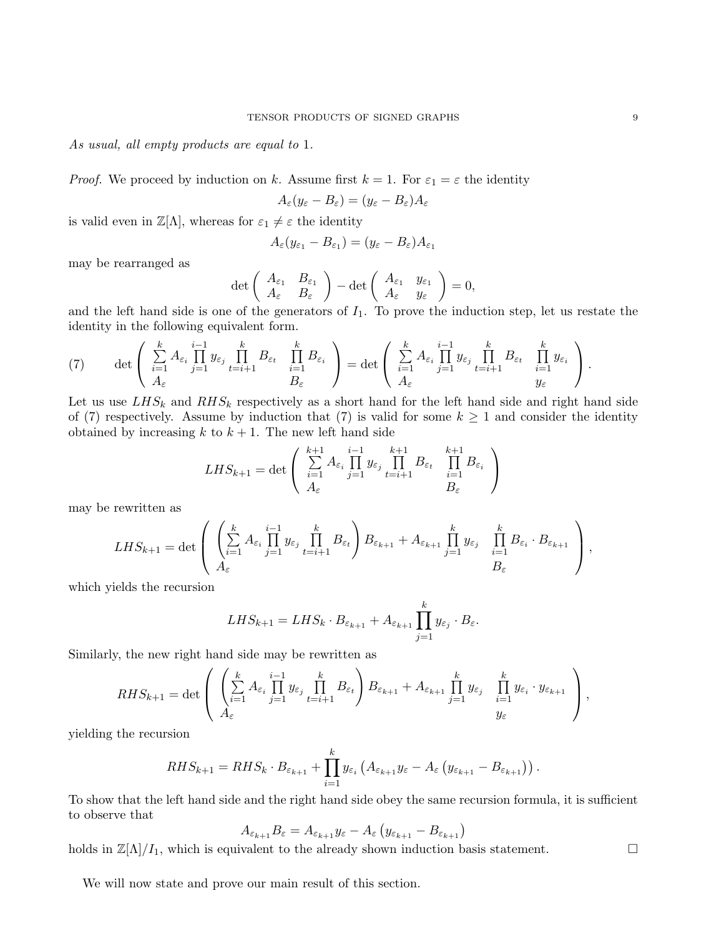As usual, all empty products are equal to 1.

*Proof.* We proceed by induction on k. Assume first  $k = 1$ . For  $\varepsilon_1 = \varepsilon$  the identity

$$
A_{\varepsilon}(y_{\varepsilon} - B_{\varepsilon}) = (y_{\varepsilon} - B_{\varepsilon})A_{\varepsilon}
$$

is valid even in  $\mathbb{Z}[\Lambda]$ , whereas for  $\varepsilon_1 \neq \varepsilon$  the identity

$$
A_{\varepsilon}(y_{\varepsilon_1}-B_{\varepsilon_1})=(y_{\varepsilon}-B_{\varepsilon})A_{\varepsilon_1}
$$

may be rearranged as

$$
\det\left(\begin{array}{cc}A_{\varepsilon_1} & B_{\varepsilon_1} \\ A_{\varepsilon} & B_{\varepsilon}\end{array}\right) - \det\left(\begin{array}{cc}A_{\varepsilon_1} & y_{\varepsilon_1} \\ A_{\varepsilon} & y_{\varepsilon}\end{array}\right) = 0,
$$

and the left hand side is one of the generators of  $I_1$ . To prove the induction step, let us restate the identity in the following equivalent form.

(7) 
$$
\det \left( \sum_{i=1}^k A_{\varepsilon_i} \prod_{j=1}^{i-1} y_{\varepsilon_j} \prod_{t=i+1}^k B_{\varepsilon_t} \prod_{i=1}^k B_{\varepsilon_i} \right) = \det \left( \sum_{i=1}^k A_{\varepsilon_i} \prod_{j=1}^{i-1} y_{\varepsilon_j} \prod_{t=i+1}^k B_{\varepsilon_t} \prod_{i=1}^k y_{\varepsilon_i} \right).
$$

Let us use  $LHS_k$  and  $RHS_k$  respectively as a short hand for the left hand side and right hand side of (7) respectively. Assume by induction that (7) is valid for some  $k \geq 1$  and consider the identity obtained by increasing k to  $k + 1$ . The new left hand side

$$
LHS_{k+1} = \det \left( \sum_{i=1}^{k+1} A_{\varepsilon_i} \prod_{j=1}^{i-1} y_{\varepsilon_j} \prod_{t=i+1}^{k+1} B_{\varepsilon_t} \prod_{i=1}^{k+1} B_{\varepsilon_i} \right)
$$

may be rewritten as

$$
LHS_{k+1} = \det \left( \begin{array}{c} \left( \sum_{i=1}^k A_{\varepsilon_i} \prod_{j=1}^{i-1} y_{\varepsilon_j} \prod_{t=i+1}^k B_{\varepsilon_t} \right) B_{\varepsilon_{k+1}} + A_{\varepsilon_{k+1}} \prod_{j=1}^k y_{\varepsilon_j} \prod_{i=1}^k B_{\varepsilon_i} \cdot B_{\varepsilon_{k+1}} \\ A_{\varepsilon} \end{array} \right),
$$

which yields the recursion

$$
LHS_{k+1} = LHS_k \cdot B_{\varepsilon_{k+1}} + A_{\varepsilon_{k+1}} \prod_{j=1}^k y_{\varepsilon_j} \cdot B_{\varepsilon}.
$$

Similarly, the new right hand side may be rewritten as

$$
RHS_{k+1} = \det \left( \begin{array}{c} \left( \sum_{i=1}^k A_{\varepsilon_i} \prod_{j=1}^{i-1} y_{\varepsilon_j} \prod_{t=i+1}^k B_{\varepsilon_t} \right) B_{\varepsilon_{k+1}} + A_{\varepsilon_{k+1}} \prod_{j=1}^k y_{\varepsilon_j} \prod_{i=1}^k y_{\varepsilon_i} \cdot y_{\varepsilon_{k+1}} \\ A_{\varepsilon} \end{array} \right),
$$

yielding the recursion

$$
RHS_{k+1} = RHS_k \cdot B_{\varepsilon_{k+1}} + \prod_{i=1}^k y_{\varepsilon_i} \left( A_{\varepsilon_{k+1}} y_{\varepsilon} - A_{\varepsilon} \left( y_{\varepsilon_{k+1}} - B_{\varepsilon_{k+1}} \right) \right).
$$

To show that the left hand side and the right hand side obey the same recursion formula, it is sufficient to observe that

$$
A_{\varepsilon_{k+1}}B_{\varepsilon}=A_{\varepsilon_{k+1}}y_{\varepsilon}-A_{\varepsilon}\left(y_{\varepsilon_{k+1}}-B_{\varepsilon_{k+1}}\right)
$$

holds in  $\mathbb{Z}[\Lambda]/I_1$ , which is equivalent to the already shown induction basis statement.

We will now state and prove our main result of this section.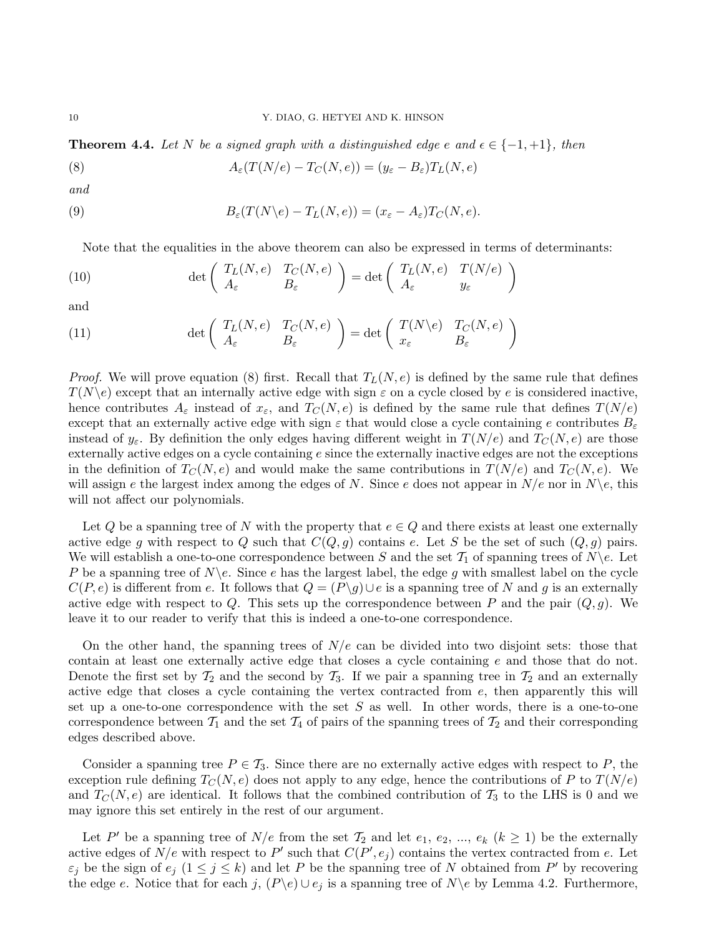**Theorem 4.4.** Let N be a signed graph with a distinguished edge e and  $\epsilon \in \{-1, +1\}$ , then

(8) 
$$
A_{\varepsilon}(T(N/e) - T_C(N, e)) = (y_{\varepsilon} - B_{\varepsilon})T_L(N, e)
$$

and

(9) 
$$
B_{\varepsilon}(T(N\backslash e)-T_{L}(N,e))=(x_{\varepsilon}-A_{\varepsilon})T_{C}(N,e).
$$

Note that the equalities in the above theorem can also be expressed in terms of determinants:

(10) 
$$
\det \begin{pmatrix} T_L(N,e) & T_C(N,e) \\ A_{\varepsilon} & B_{\varepsilon} \end{pmatrix} = \det \begin{pmatrix} T_L(N,e) & T(N/e) \\ A_{\varepsilon} & y_{\varepsilon} \end{pmatrix}
$$

and

(11) 
$$
\det \left( \begin{array}{cc} T_L(N,e) & T_C(N,e) \\ A_{\varepsilon} & B_{\varepsilon} \end{array} \right) = \det \left( \begin{array}{cc} T(N \backslash e) & T_C(N,e) \\ x_{\varepsilon} & B_{\varepsilon} \end{array} \right)
$$

*Proof.* We will prove equation (8) first. Recall that  $T_L(N, e)$  is defined by the same rule that defines  $T(N\backslash e)$  except that an internally active edge with sign  $\varepsilon$  on a cycle closed by e is considered inactive, hence contributes  $A_{\varepsilon}$  instead of  $x_{\varepsilon}$ , and  $T_{\varepsilon}(N,e)$  is defined by the same rule that defines  $T(N/e)$ except that an externally active edge with sign  $\varepsilon$  that would close a cycle containing e contributes  $B_{\varepsilon}$ instead of  $y_{\varepsilon}$ . By definition the only edges having different weight in  $T(N/e)$  and  $T_{\varepsilon}(N, e)$  are those externally active edges on a cycle containing e since the externally inactive edges are not the exceptions in the definition of  $T_{\mathcal{C}}(N, e)$  and would make the same contributions in  $T(N/e)$  and  $T_{\mathcal{C}}(N, e)$ . We will assign e the largest index among the edges of N. Since e does not appear in  $N/e$  nor in  $N\backslash e$ , this will not affect our polynomials.

Let Q be a spanning tree of N with the property that  $e \in Q$  and there exists at least one externally active edge g with respect to Q such that  $C(Q, g)$  contains e. Let S be the set of such  $(Q, g)$  pairs. We will establish a one-to-one correspondence between S and the set  $\mathcal{T}_1$  of spanning trees of  $N \backslash e$ . Let P be a spanning tree of  $N\backslash e$ . Since e has the largest label, the edge g with smallest label on the cycle  $C(P, e)$  is different from e. It follows that  $Q = (P\backslash q) \cup e$  is a spanning tree of N and g is an externally active edge with respect to Q. This sets up the correspondence between P and the pair  $(Q, g)$ . We leave it to our reader to verify that this is indeed a one-to-one correspondence.

On the other hand, the spanning trees of  $N/e$  can be divided into two disjoint sets: those that contain at least one externally active edge that closes a cycle containing e and those that do not. Denote the first set by  $\mathcal{T}_2$  and the second by  $\mathcal{T}_3$ . If we pair a spanning tree in  $\mathcal{T}_2$  and an externally active edge that closes a cycle containing the vertex contracted from  $e$ , then apparently this will set up a one-to-one correspondence with the set  $S$  as well. In other words, there is a one-to-one correspondence between  $\mathcal{T}_1$  and the set  $\mathcal{T}_4$  of pairs of the spanning trees of  $\mathcal{T}_2$  and their corresponding edges described above.

Consider a spanning tree  $P \in \mathcal{T}_3$ . Since there are no externally active edges with respect to P, the exception rule defining  $T_C(N, e)$  does not apply to any edge, hence the contributions of P to  $T(N/e)$ and  $T_{\mathcal{C}}(N,e)$  are identical. It follows that the combined contribution of  $\mathcal{T}_3$  to the LHS is 0 and we may ignore this set entirely in the rest of our argument.

Let P' be a spanning tree of  $N/e$  from the set  $\mathcal{T}_2$  and let  $e_1, e_2, ..., e_k$   $(k \geq 1)$  be the externally active edges of  $N/e$  with respect to P' such that  $C(P', e_j)$  contains the vertex contracted from e. Let  $\varepsilon_j$  be the sign of  $e_j$   $(1 \leq j \leq k)$  and let P be the spanning tree of N obtained from P' by recovering the edge e. Notice that for each j,  $(P\backslash e) \cup e_j$  is a spanning tree of  $N\backslash e$  by Lemma 4.2. Furthermore,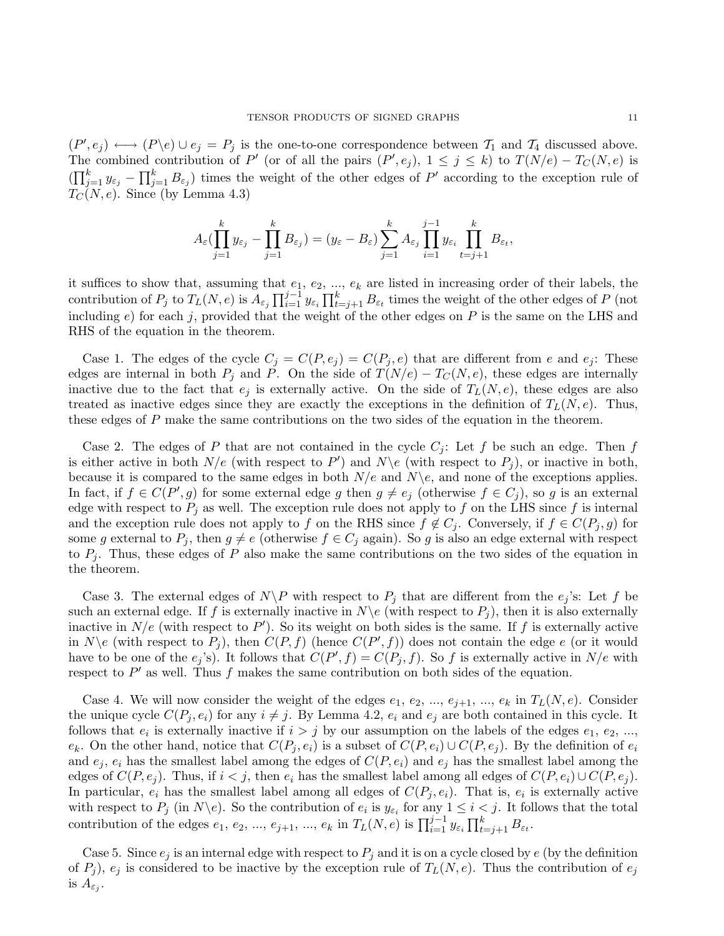$(P', e_j) \longleftrightarrow (P \setminus e) \cup e_j = P_j$  is the one-to-one correspondence between  $T_1$  and  $T_4$  discussed above. The combined contribution of P' (or of all the pairs  $(P', e_j)$ ,  $1 \leq j \leq k$ ) to  $T(N/e) - T_C(N, e)$  is  $(\prod_{j=1}^k y_{\varepsilon_j} - \prod_{j=1}^k B_{\varepsilon_j})$  times the weight of the other edges of P' according to the exception rule of  $T<sub>C</sub>(N, e)$ . Since (by Lemma 4.3)

$$
A_{\varepsilon}(\prod_{j=1}^k y_{\varepsilon_j}-\prod_{j=1}^k B_{\varepsilon_j})=(y_{\varepsilon}-B_{\varepsilon})\sum_{j=1}^k A_{\varepsilon_j}\prod_{i=1}^{j-1} y_{\varepsilon_i}\prod_{t=j+1}^k B_{\varepsilon_t},
$$

it suffices to show that, assuming that  $e_1, e_2, ..., e_k$  are listed in increasing order of their labels, the contribution of  $P_j$  to  $T_L(N, e)$  is  $A_{\varepsilon_j} \prod_{i=1}^{j-1} y_{\varepsilon_i} \prod_{t=j+1}^k B_{\varepsilon_t}$  times the weight of the other edges of P (not including  $e$ ) for each j, provided that the weight of the other edges on  $P$  is the same on the LHS and RHS of the equation in the theorem.

Case 1. The edges of the cycle  $C_j = C(P, e_j) = C(P_j, e)$  that are different from e and  $e_j$ . These edges are internal in both  $P_j$  and P. On the side of  $T(N/e) - T_C(N, e)$ , these edges are internally inactive due to the fact that  $e_j$  is externally active. On the side of  $T_L(N, e)$ , these edges are also treated as inactive edges since they are exactly the exceptions in the definition of  $T_L(N, e)$ . Thus, these edges of P make the same contributions on the two sides of the equation in the theorem.

Case 2. The edges of P that are not contained in the cycle  $C_j$ : Let f be such an edge. Then f is either active in both  $N/e$  (with respect to P') and  $N \ e$  (with respect to P<sub>j</sub>), or inactive in both, because it is compared to the same edges in both  $N/e$  and  $N\$ e, and none of the exceptions applies. In fact, if  $f \in C(P', g)$  for some external edge g then  $g \neq e_j$  (otherwise  $f \in C_j$ ), so g is an external edge with respect to  $P_i$  as well. The exception rule does not apply to f on the LHS since f is internal and the exception rule does not apply to f on the RHS since  $f \notin C_j$ . Conversely, if  $f \in C(P_j, g)$  for some g external to  $P_j$ , then  $g \neq e$  (otherwise  $f \in C_j$  again). So g is also an edge external with respect to  $P_i$ . Thus, these edges of P also make the same contributions on the two sides of the equation in the theorem.

Case 3. The external edges of  $N\ P$  with respect to  $P_j$  that are different from the  $e_j$ 's: Let f be such an external edge. If f is externally inactive in  $N\backslash e$  (with respect to  $P_i$ ), then it is also externally inactive in  $N/e$  (with respect to P'). So its weight on both sides is the same. If f is externally active in  $N \backslash e$  (with respect to  $P_j$ ), then  $C(P, f)$  (hence  $C(P', f)$ ) does not contain the edge e (or it would have to be one of the  $e_j$ 's). It follows that  $C(P', f) = C(P_j, f)$ . So f is externally active in  $N/e$  with respect to  $P'$  as well. Thus f makes the same contribution on both sides of the equation.

Case 4. We will now consider the weight of the edges  $e_1, e_2, ..., e_{j+1}, ..., e_k$  in  $T_L(N, e)$ . Consider the unique cycle  $C(P_i, e_i)$  for any  $i \neq j$ . By Lemma 4.2,  $e_i$  and  $e_j$  are both contained in this cycle. It follows that  $e_i$  is externally inactive if  $i > j$  by our assumption on the labels of the edges  $e_1, e_2, ...,$  $e_k$ . On the other hand, notice that  $C(P_j, e_i)$  is a subset of  $C(P, e_i) \cup C(P, e_j)$ . By the definition of  $e_i$ and  $e_i$ ,  $e_i$  has the smallest label among the edges of  $C(P, e_i)$  and  $e_j$  has the smallest label among the edges of  $C(P, e_i)$ . Thus, if  $i < j$ , then  $e_i$  has the smallest label among all edges of  $C(P, e_i) \cup C(P, e_j)$ . In particular,  $e_i$  has the smallest label among all edges of  $C(P_j, e_i)$ . That is,  $e_i$  is externally active with respect to  $P_j$  (in  $N \backslash e$ ). So the contribution of  $e_i$  is  $y_{\varepsilon_i}$  for any  $1 \leq i < j$ . It follows that the total contribution of the edges  $e_1, e_2, ..., e_{j+1}, ..., e_k$  in  $T_L(N, e)$  is  $\prod_{i=1}^{j-1} y_{\varepsilon_i} \prod_{t=j+1}^k B_{\varepsilon_t}$ .

Case 5. Since  $e_j$  is an internal edge with respect to  $P_j$  and it is on a cycle closed by e (by the definition of  $P_j$ ),  $e_j$  is considered to be inactive by the exception rule of  $T_L(N, e)$ . Thus the contribution of  $e_j$ is  $A_{\varepsilon_j}$ .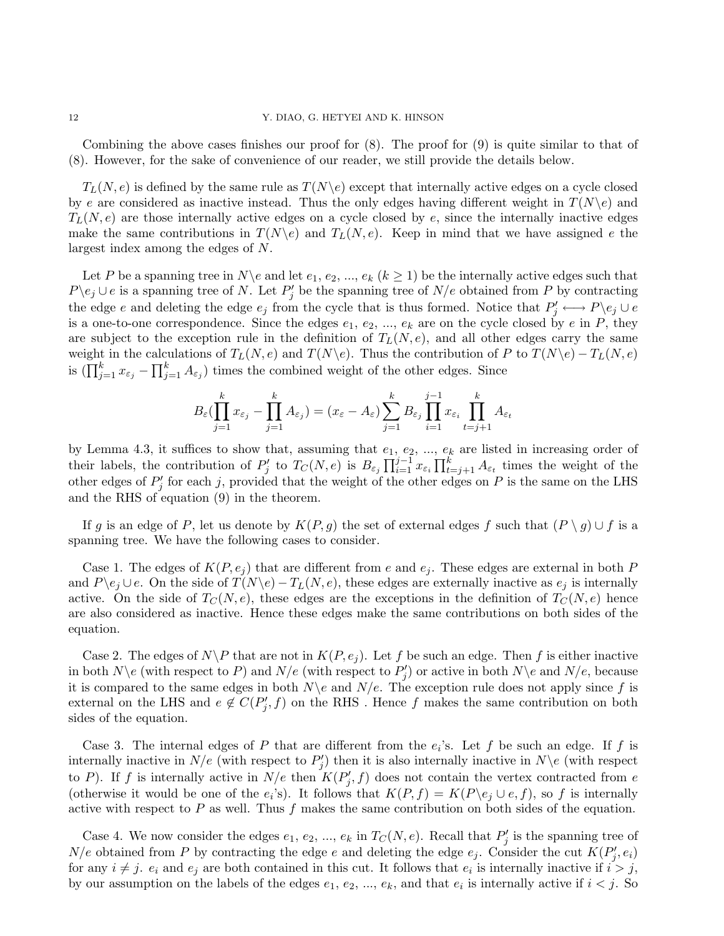Combining the above cases finishes our proof for (8). The proof for (9) is quite similar to that of (8). However, for the sake of convenience of our reader, we still provide the details below.

 $T_L(N, e)$  is defined by the same rule as  $T(N\backslash e)$  except that internally active edges on a cycle closed by e are considered as inactive instead. Thus the only edges having different weight in  $T(N\backslash e)$  and  $T_L(N, e)$  are those internally active edges on a cycle closed by e, since the internally inactive edges make the same contributions in  $T(N\backslash e)$  and  $T_L(N, e)$ . Keep in mind that we have assigned e the largest index among the edges of N.

Let P be a spanning tree in  $N\backslash e$  and let  $e_1, e_2, ..., e_k$   $(k \ge 1)$  be the internally active edges such that  $P \backslash e_j \cup e$  is a spanning tree of N. Let  $P'_j$  be the spanning tree of  $N/e$  obtained from P by contracting the edge e and deleting the edge  $e_j$  from the cycle that is thus formed. Notice that  $P'_j \longleftrightarrow P \backslash e_j \cup e_j$ is a one-to-one correspondence. Since the edges  $e_1, e_2, ..., e_k$  are on the cycle closed by e in P, they are subject to the exception rule in the definition of  $T_L(N, e)$ , and all other edges carry the same weight in the calculations of  $T_L(N, e)$  and  $T(N\backslash e)$ . Thus the contribution of P to  $T(N\backslash e) - T_L(N, e)$ is  $(\prod_{j=1}^k x_{\varepsilon_j} - \prod_{j=1}^k A_{\varepsilon_j})$  times the combined weight of the other edges. Since

$$
B_{\varepsilon}(\prod_{j=1}^k x_{\varepsilon_j} - \prod_{j=1}^k A_{\varepsilon_j}) = (x_{\varepsilon} - A_{\varepsilon}) \sum_{j=1}^k B_{\varepsilon_j} \prod_{i=1}^{j-1} x_{\varepsilon_i} \prod_{t=j+1}^k A_{\varepsilon_t}
$$

by Lemma 4.3, it suffices to show that, assuming that  $e_1, e_2, ..., e_k$  are listed in increasing order of their labels, the contribution of  $P'_j$  to  $T_C(N, e)$  is  $B_{\varepsilon_j} \prod_{i=1}^{j-1} x_{\varepsilon_i} \prod_{t=j+1}^k A_{\varepsilon_t}$  times the weight of the other edges of  $P'_j$  for each j, provided that the weight of the other edges on P is the same on the LHS and the RHS of equation (9) in the theorem.

If g is an edge of P, let us denote by  $K(P, g)$  the set of external edges f such that  $(P \setminus g) \cup f$  is a spanning tree. We have the following cases to consider.

Case 1. The edges of  $K(P, e_i)$  that are different from e and  $e_i$ . These edges are external in both P and  $P\backslash e_j \cup e$ . On the side of  $T(N\backslash e) - T_L(N, e)$ , these edges are externally inactive as  $e_j$  is internally active. On the side of  $T_c(N, e)$ , these edges are the exceptions in the definition of  $T_c(N, e)$  hence are also considered as inactive. Hence these edges make the same contributions on both sides of the equation.

Case 2. The edges of  $N\backslash P$  that are not in  $K(P, e_j)$ . Let f be such an edge. Then f is either inactive in both  $N \backslash e$  (with respect to P) and  $N/e$  (with respect to  $P'_j$ ) or active in both  $N \backslash e$  and  $N/e$ , because it is compared to the same edges in both  $N\backslash e$  and  $N/e$ . The exception rule does not apply since f is external on the LHS and  $e \notin C(P'_j, f)$  on the RHS. Hence f makes the same contribution on both sides of the equation.

Case 3. The internal edges of P that are different from the  $e_i$ 's. Let f be such an edge. If f is internally inactive in  $N/e$  (with respect to  $P'_j$ ) then it is also internally inactive in  $N\backslash e$  (with respect to P). If f is internally active in  $N/e$  then  $K(P'_j, f)$  does not contain the vertex contracted from e (otherwise it would be one of the  $e_i$ 's). It follows that  $K(P, f) = K(P \backslash e_j \cup e, f)$ , so f is internally active with respect to  $P$  as well. Thus  $f$  makes the same contribution on both sides of the equation.

Case 4. We now consider the edges  $e_1, e_2, ..., e_k$  in  $T_c(N, e)$ . Recall that  $P'_j$  is the spanning tree of  $N/e$  obtained from P by contracting the edge e and deleting the edge  $e_j$ . Consider the cut  $K(P'_j, e_i)$ for any  $i \neq j$ .  $e_i$  and  $e_j$  are both contained in this cut. It follows that  $e_i$  is internally inactive if  $i > j$ , by our assumption on the labels of the edges  $e_1, e_2, ..., e_k$ , and that  $e_i$  is internally active if  $i < j$ . So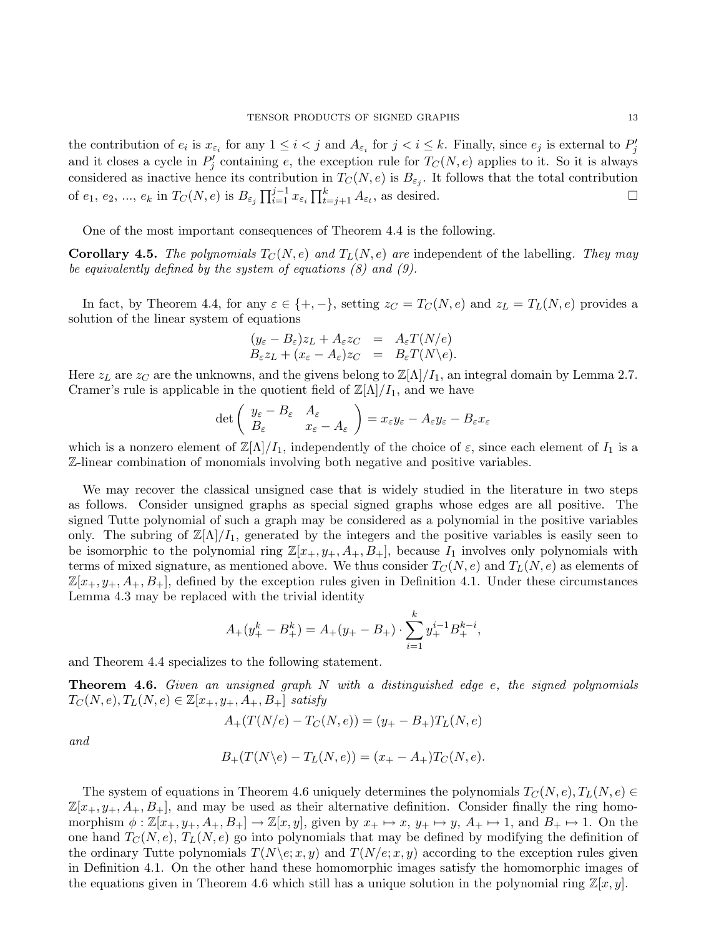the contribution of  $e_i$  is  $x_{\varepsilon_i}$  for any  $1 \leq i < j$  and  $A_{\varepsilon_i}$  for  $j < i \leq k$ . Finally, since  $e_j$  is external to  $P'_j$ and it closes a cycle in  $P'_j$  containing e, the exception rule for  $T_C(N, e)$  applies to it. So it is always considered as inactive hence its contribution in  $T_C(N, e)$  is  $B_{\varepsilon_j}$ . It follows that the total contribution of  $e_1, e_2, ..., e_k$  in  $T_C(N, e)$  is  $B_{\varepsilon_j} \prod_{i=1}^{j-1} x_{\varepsilon_i} \prod_{t=j+1}^k A_{\varepsilon_t}$ , as desired.

One of the most important consequences of Theorem 4.4 is the following.

**Corollary 4.5.** The polynomials  $T_C(N, e)$  and  $T_L(N, e)$  are independent of the labelling. They may be equivalently defined by the system of equations  $(8)$  and  $(9)$ .

In fact, by Theorem 4.4, for any  $\varepsilon \in \{+, -\}$ , setting  $z_C = T_C(N, e)$  and  $z_L = T_L(N, e)$  provides a solution of the linear system of equations

$$
(y_{\varepsilon} - B_{\varepsilon})z_L + A_{\varepsilon}z_C = A_{\varepsilon}T(N/e)
$$
  
\n
$$
B_{\varepsilon}z_L + (x_{\varepsilon} - A_{\varepsilon})z_C = B_{\varepsilon}T(N\backslash e).
$$

Here  $z_L$  are  $z_C$  are the unknowns, and the givens belong to  $\mathbb{Z}[\Lambda]/I_1$ , an integral domain by Lemma 2.7. Cramer's rule is applicable in the quotient field of  $\mathbb{Z}[\Lambda]/I_1$ , and we have

$$
\det \left( \begin{array}{cc} y_{\varepsilon} - B_{\varepsilon} & A_{\varepsilon} \\ B_{\varepsilon} & x_{\varepsilon} - A_{\varepsilon} \end{array} \right) = x_{\varepsilon} y_{\varepsilon} - A_{\varepsilon} y_{\varepsilon} - B_{\varepsilon} x_{\varepsilon}
$$

which is a nonzero element of  $\mathbb{Z}[\Lambda]/I_1$ , independently of the choice of  $\varepsilon$ , since each element of  $I_1$  is a Z-linear combination of monomials involving both negative and positive variables.

We may recover the classical unsigned case that is widely studied in the literature in two steps as follows. Consider unsigned graphs as special signed graphs whose edges are all positive. The signed Tutte polynomial of such a graph may be considered as a polynomial in the positive variables only. The subring of  $\mathbb{Z}[\Lambda]/I_1$ , generated by the integers and the positive variables is easily seen to be isomorphic to the polynomial ring  $\mathbb{Z}[x_+, y_+, A_+, B_+]$ , because  $I_1$  involves only polynomials with terms of mixed signature, as mentioned above. We thus consider  $T_{\mathcal{C}}(N, e)$  and  $T_{\mathcal{L}}(N, e)$  as elements of  $\mathbb{Z}[x_+, y_+, A_+, B_+]$ , defined by the exception rules given in Definition 4.1. Under these circumstances Lemma 4.3 may be replaced with the trivial identity

$$
A_{+}(y_{+}^{k} - B_{+}^{k}) = A_{+}(y_{+} - B_{+}) \cdot \sum_{i=1}^{k} y_{+}^{i-1} B_{+}^{k-i},
$$

and Theorem 4.4 specializes to the following statement.

**Theorem 4.6.** Given an unsigned graph  $N$  with a distinguished edge  $e$ , the signed polynomials  $T_C(N, e), T_L(N, e) \in \mathbb{Z}[x_+, y_+, A_+, B_+]$  satisfy

$$
A_{+}(T(N/e) - T_{C}(N, e)) = (y_{+} - B_{+})T_{L}(N, e)
$$

and

$$
B_{+}(T(N\backslash e) - T_{L}(N, e)) = (x_{+} - A_{+})T_{C}(N, e).
$$

The system of equations in Theorem 4.6 uniquely determines the polynomials  $T_C(N, e), T_L(N, e) \in$  $\mathbb{Z}[x_+, y_+, A_+, B_+]$ , and may be used as their alternative definition. Consider finally the ring homomorphism  $\phi : \mathbb{Z}[x_+, y_+, A_+, B_+] \to \mathbb{Z}[x, y]$ , given by  $x_+ \mapsto x$ ,  $y_+ \mapsto y$ ,  $A_+ \mapsto 1$ , and  $B_+ \mapsto 1$ . On the one hand  $T_C(N, e)$ ,  $T_L(N, e)$  go into polynomials that may be defined by modifying the definition of the ordinary Tutte polynomials  $T(N\langle e; x, y \rangle)$  and  $T(N\langle e; x, y \rangle)$  according to the exception rules given in Definition 4.1. On the other hand these homomorphic images satisfy the homomorphic images of the equations given in Theorem 4.6 which still has a unique solution in the polynomial ring  $\mathbb{Z}[x, y]$ .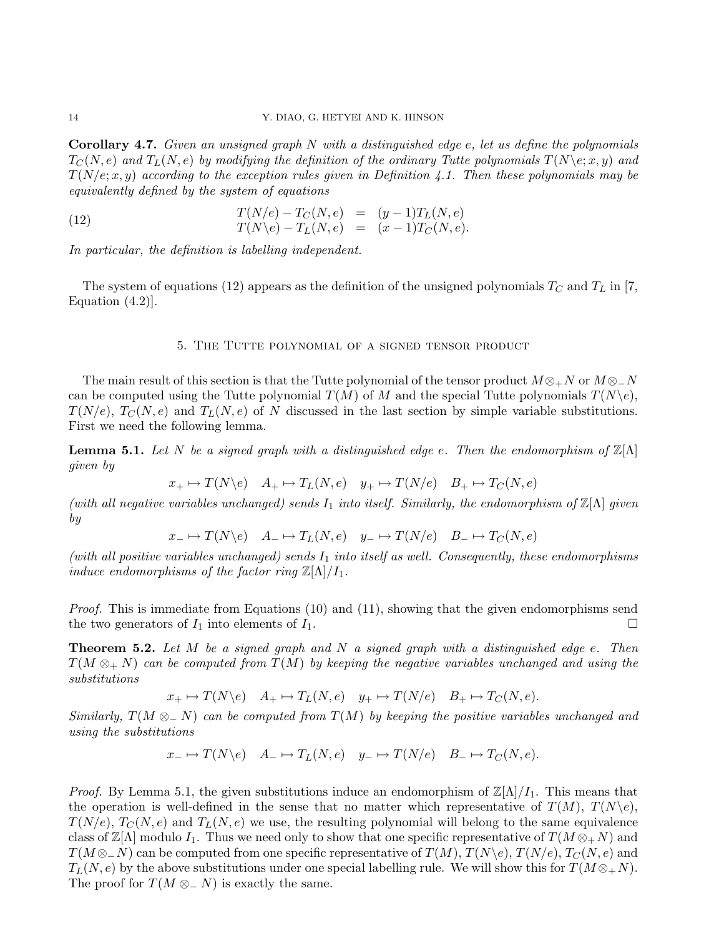**Corollary 4.7.** Given an unsigned graph  $N$  with a distinguished edge  $e$ , let us define the polynomials  $T_{\mathcal{C}}(N, e)$  and  $T_{\mathcal{L}}(N, e)$  by modifying the definition of the ordinary Tutte polynomials  $T(N\setminus e; x, y)$  and  $T(N/e; x, y)$  according to the exception rules given in Definition 4.1. Then these polynomials may be equivalently defined by the system of equations

(12) 
$$
T(N/e) - T_C(N, e) = (y - 1)T_L(N, e)
$$

$$
T(N \backslash e) - T_L(N, e) = (x - 1)T_C(N, e).
$$

In particular, the definition is labelling independent.

The system of equations (12) appears as the definition of the unsigned polynomials  $T_{C}$  and  $T_{L}$  in [7, Equation (4.2)].

## 5. The Tutte polynomial of a signed tensor product

The main result of this section is that the Tutte polynomial of the tensor product  $M \otimes_{+} N$  or  $M \otimes_{-} N$ can be computed using the Tutte polynomial  $T(M)$  of M and the special Tutte polynomials  $T(N\backslash e)$ ,  $T(N/e)$ ,  $T_C(N, e)$  and  $T_L(N, e)$  of N discussed in the last section by simple variable substitutions. First we need the following lemma.

**Lemma 5.1.** Let N be a signed graph with a distinguished edge e. Then the endomorphism of  $\mathbb{Z}[\Lambda]$ given by

$$
x_+ \mapsto T(N \backslash e) \quad A_+ \mapsto T_L(N, e) \quad y_+ \mapsto T(N/e) \quad B_+ \mapsto T_C(N, e)
$$

(with all negative variables unchanged) sends  $I_1$  into itself. Similarly, the endomorphism of  $\mathbb{Z}[\Lambda]$  given by

$$
x_- \mapsto T(N \backslash e) \quad A_- \mapsto T_L(N, e) \quad y_- \mapsto T(N/e) \quad B_- \mapsto T_C(N, e)
$$

(with all positive variables unchanged) sends  $I_1$  into itself as well. Consequently, these endomorphisms induce endomorphisms of the factor ring  $\mathbb{Z}[\Lambda]/I_1$ .

*Proof.* This is immediate from Equations  $(10)$  and  $(11)$ , showing that the given endomorphisms send the two generators of  $I_1$  into elements of  $I_1$ .

**Theorem 5.2.** Let M be a signed graph and N a signed graph with a distinguished edge e. Then  $T(M \otimes_{+} N)$  can be computed from  $T(M)$  by keeping the negative variables unchanged and using the substitutions

$$
x_+ \mapsto T(N \backslash e) \quad A_+ \mapsto T_L(N, e) \quad y_+ \mapsto T(N/e) \quad B_+ \mapsto T_C(N, e).
$$

Similarly,  $T(M \otimes_{\mathbb{Z}} N)$  can be computed from  $T(M)$  by keeping the positive variables unchanged and using the substitutions

$$
x_- \mapsto T(N \backslash e) \quad A_- \mapsto T_L(N, e) \quad y_- \mapsto T(N \backslash e) \quad B_- \mapsto T_C(N, e).
$$

*Proof.* By Lemma 5.1, the given substitutions induce an endomorphism of  $\mathbb{Z}[\Lambda]/I_1$ . This means that the operation is well-defined in the sense that no matter which representative of  $T(M)$ ,  $T(N\backslash e)$ ,  $T(N/e), T_C(N, e)$  and  $T_L(N, e)$  we use, the resulting polynomial will belong to the same equivalence class of  $\mathbb{Z}[{\Lambda}]$  modulo  $I_1$ . Thus we need only to show that one specific representative of  $T(M \otimes_+ N)$  and  $T(M \otimes N)$  can be computed from one specific representative of  $T(M)$ ,  $T(N \n\in R)$ ,  $T(N \n\in R)$  and  $T_L(N, e)$  by the above substitutions under one special labelling rule. We will show this for  $T(M \otimes_+ N)$ . The proof for  $T(M \otimes N)$  is exactly the same.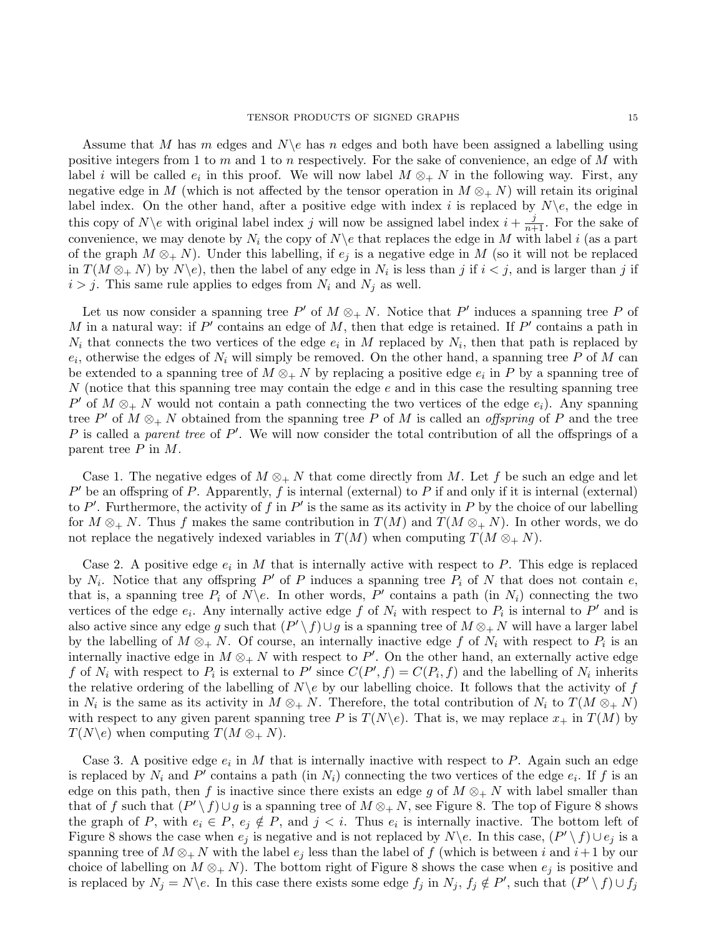Assume that M has m edges and  $N\$ e has n edges and both have been assigned a labelling using positive integers from 1 to  $m$  and 1 to  $n$  respectively. For the sake of convenience, an edge of  $M$  with label i will be called  $e_i$  in this proof. We will now label  $M \otimes_{+} N$  in the following way. First, any negative edge in M (which is not affected by the tensor operation in  $M \otimes_{+} N$ ) will retain its original label index. On the other hand, after a positive edge with index i is replaced by  $N\backslash e$ , the edge in this copy of  $N\backslash e$  with original label index j will now be assigned label index  $i + \frac{j}{n+1}$ . For the sake of convenience, we may denote by  $N_i$  the copy of  $N\$ e that replaces the edge in M with label i (as a part of the graph  $M \otimes_{+} N$ ). Under this labelling, if  $e_i$  is a negative edge in M (so it will not be replaced in  $T(M \otimes_{+} N)$  by  $N \backslash e$ , then the label of any edge in  $N_i$  is less than j if  $i < j$ , and is larger than j if  $i > j$ . This same rule applies to edges from  $N_i$  and  $N_j$  as well.

Let us now consider a spanning tree P' of  $M \otimes_{+} N$ . Notice that P' induces a spanning tree P of M in a natural way: if  $P'$  contains an edge of M, then that edge is retained. If  $P'$  contains a path in  $N_i$  that connects the two vertices of the edge  $e_i$  in M replaced by  $N_i$ , then that path is replaced by  $e_i$ , otherwise the edges of  $N_i$  will simply be removed. On the other hand, a spanning tree P of M can be extended to a spanning tree of  $M \otimes_{+} N$  by replacing a positive edge  $e_i$  in P by a spanning tree of  $N$  (notice that this spanning tree may contain the edge  $e$  and in this case the resulting spanning tree P' of  $M \otimes_{+} N$  would not contain a path connecting the two vertices of the edge  $e_i$ ). Any spanning tree P' of  $M \otimes_{+} N$  obtained from the spanning tree P of M is called an *offspring* of P and the tree P is called a parent tree of  $P'$ . We will now consider the total contribution of all the offsprings of a parent tree  $P$  in  $M$ .

Case 1. The negative edges of  $M \otimes_{+} N$  that come directly from M. Let f be such an edge and let  $P'$  be an offspring of P. Apparently, f is internal (external) to P if and only if it is internal (external) to P'. Furthermore, the activity of f in P' is the same as its activity in P by the choice of our labelling for  $M \otimes_{+} N$ . Thus f makes the same contribution in  $T(M)$  and  $T(M \otimes_{+} N)$ . In other words, we do not replace the negatively indexed variables in  $T(M)$  when computing  $T(M \otimes_{+} N)$ .

Case 2. A positive edge  $e_i$  in M that is internally active with respect to P. This edge is replaced by  $N_i$ . Notice that any offspring P' of P induces a spanning tree  $P_i$  of N that does not contain e, that is, a spanning tree  $P_i$  of  $N \backslash e$ . In other words,  $P'$  contains a path (in  $N_i$ ) connecting the two vertices of the edge  $e_i$ . Any internally active edge f of  $N_i$  with respect to  $P_i$  is internal to  $P'$  and is also active since any edge g such that  $(P' \setminus f) \cup g$  is a spanning tree of  $M \otimes_{+} N$  will have a larger label by the labelling of  $M \otimes_+ N$ . Of course, an internally inactive edge f of  $N_i$  with respect to  $P_i$  is an internally inactive edge in  $M \otimes_{+} N$  with respect to P'. On the other hand, an externally active edge f of  $N_i$  with respect to  $P_i$  is external to  $P'$  since  $C(P', f) = C(P_i, f)$  and the labelling of  $N_i$  inherits the relative ordering of the labelling of  $N\backslash e$  by our labelling choice. It follows that the activity of f in  $N_i$  is the same as its activity in  $M \otimes_+ N$ . Therefore, the total contribution of  $N_i$  to  $T(M \otimes_+ N)$ with respect to any given parent spanning tree P is  $T(N\backslash e)$ . That is, we may replace  $x_+$  in  $T(M)$  by  $T(N\backslash e)$  when computing  $T(M\otimes_+ N)$ .

Case 3. A positive edge  $e_i$  in M that is internally inactive with respect to P. Again such an edge is replaced by  $N_i$  and P' contains a path (in  $N_i$ ) connecting the two vertices of the edge  $e_i$ . If f is an edge on this path, then f is inactive since there exists an edge g of  $M \otimes_{+} N$  with label smaller than that of f such that  $(P' \setminus f) \cup g$  is a spanning tree of  $M \otimes_{+} N$ , see Figure 8. The top of Figure 8 shows the graph of P, with  $e_i \in P$ ,  $e_j \notin P$ , and  $j < i$ . Thus  $e_i$  is internally inactive. The bottom left of Figure 8 shows the case when  $e_j$  is negative and is not replaced by N\e. In this case,  $(P' \setminus f) \cup e_j$  is a spanning tree of  $M \otimes_{+} N$  with the label  $e_j$  less than the label of f (which is between i and i+1 by our choice of labelling on  $M \otimes_{+} N$ ). The bottom right of Figure 8 shows the case when  $e_j$  is positive and is replaced by  $N_j = N \backslash e$ . In this case there exists some edge  $f_j$  in  $N_j$ ,  $f_j \notin P'$ , such that  $(P' \setminus f) \cup f_j$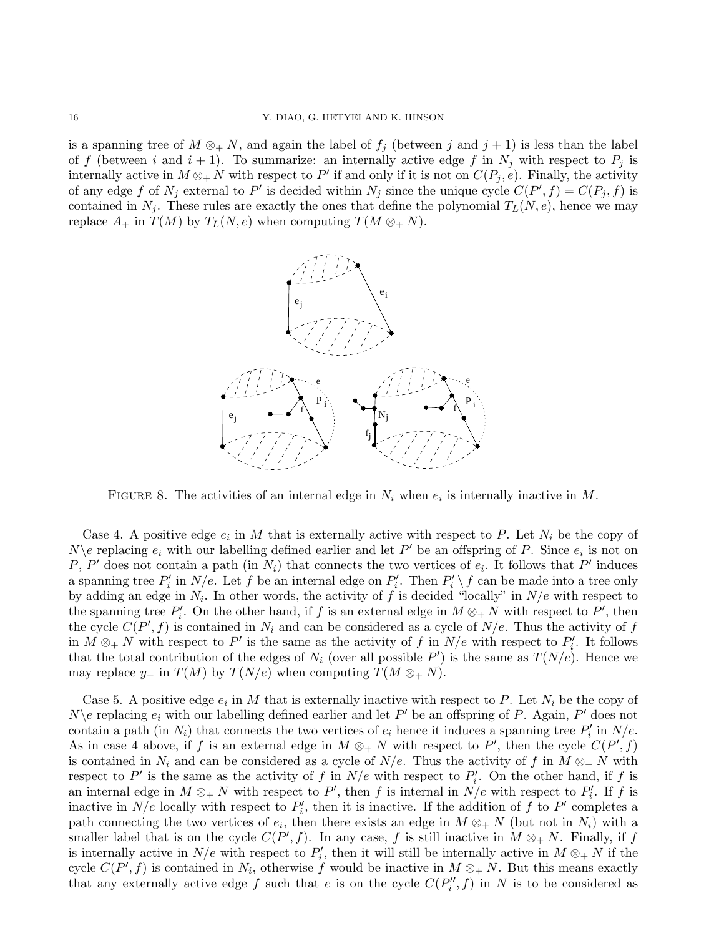is a spanning tree of  $M \otimes_+ N$ , and again the label of  $f_i$  (between j and j + 1) is less than the label of f (between i and  $i + 1$ ). To summarize: an internally active edge f in  $N_i$  with respect to  $P_i$  is internally active in  $M \otimes_{+} N$  with respect to P' if and only if it is not on  $C(P_j, e)$ . Finally, the activity of any edge f of  $N_j$  external to P' is decided within  $N_j$  since the unique cycle  $C(P', f) = C(P_j, f)$  is contained in  $N_j$ . These rules are exactly the ones that define the polynomial  $T_L(N, e)$ , hence we may replace  $A_+$  in  $T(M)$  by  $T_L(N, e)$  when computing  $T(M \otimes_+ N)$ .



FIGURE 8. The activities of an internal edge in  $N_i$  when  $e_i$  is internally inactive in M.

Case 4. A positive edge  $e_i$  in M that is externally active with respect to P. Let  $N_i$  be the copy of  $N\backslash e$  replacing  $e_i$  with our labelling defined earlier and let  $P'$  be an offspring of P. Since  $e_i$  is not on P, P' does not contain a path (in  $N_i$ ) that connects the two vertices of  $e_i$ . It follows that P' induces a spanning tree  $P'_i$  in  $N/e$ . Let f be an internal edge on  $P'_i$ . Then  $P'_i \setminus f$  can be made into a tree only by adding an edge in  $N_i$ . In other words, the activity of f is decided "locally" in  $N/e$  with respect to the spanning tree  $P'_i$ . On the other hand, if f is an external edge in  $M \otimes_{+} N$  with respect to  $P'$ , then the cycle  $C(P', f)$  is contained in  $N_i$  and can be considered as a cycle of  $N/e$ . Thus the activity of f in  $M \otimes_{+} N$  with respect to P' is the same as the activity of f in  $N/e$  with respect to  $P_i'$ . It follows that the total contribution of the edges of  $N_i$  (over all possible P') is the same as  $T(N/e)$ . Hence we may replace  $y_+$  in  $T(M)$  by  $T(N/e)$  when computing  $T(M \otimes_+ N)$ .

Case 5. A positive edge  $e_i$  in M that is externally inactive with respect to P. Let  $N_i$  be the copy of  $N\backslash e$  replacing  $e_i$  with our labelling defined earlier and let  $P'$  be an offspring of P. Again,  $P'$  does not contain a path (in  $N_i$ ) that connects the two vertices of  $e_i$  hence it induces a spanning tree  $P'_i$  in  $N/e$ . As in case 4 above, if f is an external edge in  $M \otimes_{+} N$  with respect to P', then the cycle  $C(P', f)$ is contained in  $N_i$  and can be considered as a cycle of  $N/e$ . Thus the activity of f in  $M \otimes_+ N$  with respect to P' is the same as the activity of f in  $N/e$  with respect to  $P'_i$ . On the other hand, if f is an internal edge in  $M \otimes_+ N$  with respect to P', then f is internal in  $N/e$  with respect to  $P'_i$ . If f is inactive in  $N/e$  locally with respect to  $P'_i$ , then it is inactive. If the addition of f to P' completes a path connecting the two vertices of  $e_i$ , then there exists an edge in  $M \otimes_+ N$  (but not in  $N_i$ ) with a smaller label that is on the cycle  $C(P', f)$ . In any case, f is still inactive in  $M \otimes_{+} N$ . Finally, if f is internally active in  $N/e$  with respect to  $P'_i$ , then it will still be internally active in  $M \otimes_{+} N$  if the cycle  $C(P', f)$  is contained in  $N_i$ , otherwise f would be inactive in  $M \otimes_{+} N$ . But this means exactly that any externally active edge f such that e is on the cycle  $C(P''_i, f)$  in N is to be considered as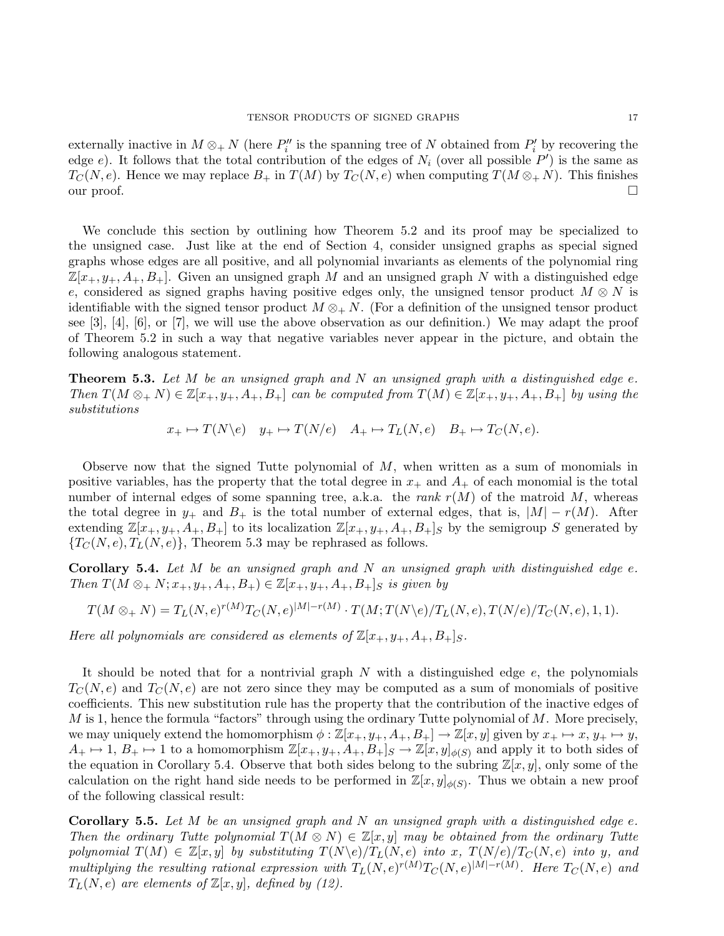externally inactive in  $M \otimes_+ N$  (here  $P''_i$  is the spanning tree of N obtained from  $P'_i$  by recovering the edge e). It follows that the total contribution of the edges of  $N_i$  (over all possible  $P'$ ) is the same as  $T_{\mathcal{C}}(N, e)$ . Hence we may replace  $B_+$  in  $T(M)$  by  $T_{\mathcal{C}}(N, e)$  when computing  $T(M \otimes_+ N)$ . This finishes our proof. □

We conclude this section by outlining how Theorem 5.2 and its proof may be specialized to the unsigned case. Just like at the end of Section 4, consider unsigned graphs as special signed graphs whose edges are all positive, and all polynomial invariants as elements of the polynomial ring  $\mathbb{Z}[x_+, y_+, A_+, B_+]$ . Given an unsigned graph M and an unsigned graph N with a distinguished edge e, considered as signed graphs having positive edges only, the unsigned tensor product  $M \otimes N$  is identifiable with the signed tensor product  $M \otimes_{+} N$ . (For a definition of the unsigned tensor product see  $[3]$ ,  $[4]$ ,  $[6]$ , or  $[7]$ , we will use the above observation as our definition.) We may adapt the proof of Theorem 5.2 in such a way that negative variables never appear in the picture, and obtain the following analogous statement.

**Theorem 5.3.** Let M be an unsigned graph and N an unsigned graph with a distinguished edge  $e$ . Then  $T(M \otimes_+ N) \in \mathbb{Z}[x_+, y_+, A_+, B_+]$  can be computed from  $T(M) \in \mathbb{Z}[x_+, y_+, A_+, B_+]$  by using the substitutions

 $x_+ \mapsto T(N \backslash e)$   $y_+ \mapsto T(N \backslash e)$   $A_+ \mapsto T_L(N, e)$   $B_+ \mapsto T_C(N, e)$ .

Observe now that the signed Tutte polynomial of  $M$ , when written as a sum of monomials in positive variables, has the property that the total degree in  $x_+$  and  $A_+$  of each monomial is the total number of internal edges of some spanning tree, a.k.a. the *rank*  $r(M)$  of the matroid M, whereas the total degree in  $y_+$  and  $B_+$  is the total number of external edges, that is,  $|M| - r(M)$ . After extending  $\mathbb{Z}[x_+, y_+, A_+, B_+]$  to its localization  $\mathbb{Z}[x_+, y_+, A_+, B_+]$  by the semigroup S generated by  ${T_C(N, e), T_L(N, e)}$ , Theorem 5.3 may be rephrased as follows.

**Corollary 5.4.** Let  $M$  be an unsigned graph and  $N$  an unsigned graph with distinguished edge  $e$ . Then  $T(M \otimes_{+} N; x_{+}, y_{+}, A_{+}, B_{+}) \in \mathbb{Z}[x_{+}, y_{+}, A_{+}, B_{+}]$ s is given by

$$
T(M\otimes_+ N)=T_L(N,e)^{r(M)}T_C(N,e)^{|M|-r(M)}\cdot T(M;T(N\backslash e)/T_L(N,e),T(N/e)/T_C(N,e),1,1).
$$

Here all polynomials are considered as elements of  $\mathbb{Z}[x_+, y_+, A_+, B_+]_S$ .

It should be noted that for a nontrivial graph  $N$  with a distinguished edge  $e$ , the polynomials  $T_c(N, e)$  and  $T_c(N, e)$  are not zero since they may be computed as a sum of monomials of positive coefficients. This new substitution rule has the property that the contribution of the inactive edges of  $M$  is 1, hence the formula "factors" through using the ordinary Tutte polynomial of  $M$ . More precisely, we may uniquely extend the homomorphism  $\phi : \mathbb{Z}[x_+, y_+, A_+, B_+] \to \mathbb{Z}[x, y]$  given by  $x_+ \mapsto x, y_+ \mapsto y$ ,  $A_+ \mapsto 1, B_+ \mapsto 1$  to a homomorphism  $\mathbb{Z}[x_+, y_+, A_+, B_+]_S \to \mathbb{Z}[x, y]_{\phi(S)}$  and apply it to both sides of the equation in Corollary 5.4. Observe that both sides belong to the subring  $\mathbb{Z}[x, y]$ , only some of the calculation on the right hand side needs to be performed in  $\mathbb{Z}[x,y]_{\phi(S)}$ . Thus we obtain a new proof of the following classical result:

**Corollary 5.5.** Let M be an unsigned graph and N an unsigned graph with a distinguished edge  $e$ . Then the ordinary Tutte polynomial  $T(M \otimes N) \in \mathbb{Z}[x, y]$  may be obtained from the ordinary Tutte polynomial  $T(M) \in \mathbb{Z}[x, y]$  by substituting  $T(N \backslash e)/T_L(N, e)$  into x,  $T(N/e)/T_C(N, e)$  into y, and multiplying the resulting rational expression with  $T_L(N, e)^{r(M)}T_C(N, e)^{|M|-r(M)}$ . Here  $T_C(N, e)$  and  $T_L(N, e)$  are elements of  $\mathbb{Z}[x, y]$ , defined by (12).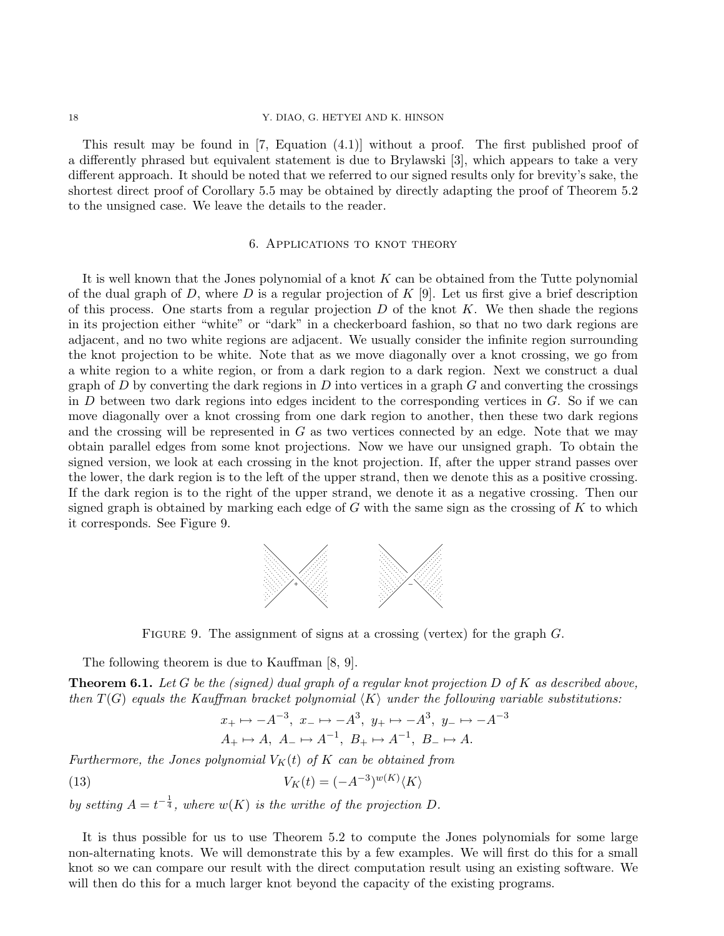#### 18 Y. DIAO, G. HETYEI AND K. HINSON

This result may be found in [7, Equation (4.1)] without a proof. The first published proof of a differently phrased but equivalent statement is due to Brylawski [3], which appears to take a very different approach. It should be noted that we referred to our signed results only for brevity's sake, the shortest direct proof of Corollary 5.5 may be obtained by directly adapting the proof of Theorem 5.2 to the unsigned case. We leave the details to the reader.

## 6. Applications to knot theory

It is well known that the Jones polynomial of a knot  $K$  can be obtained from the Tutte polynomial of the dual graph of D, where D is a regular projection of  $K$  [9]. Let us first give a brief description of this process. One starts from a regular projection  $D$  of the knot  $K$ . We then shade the regions in its projection either "white" or "dark" in a checkerboard fashion, so that no two dark regions are adjacent, and no two white regions are adjacent. We usually consider the infinite region surrounding the knot projection to be white. Note that as we move diagonally over a knot crossing, we go from a white region to a white region, or from a dark region to a dark region. Next we construct a dual graph of D by converting the dark regions in D into vertices in a graph  $G$  and converting the crossings in  $D$  between two dark regions into edges incident to the corresponding vertices in  $G$ . So if we can move diagonally over a knot crossing from one dark region to another, then these two dark regions and the crossing will be represented in  $G$  as two vertices connected by an edge. Note that we may obtain parallel edges from some knot projections. Now we have our unsigned graph. To obtain the signed version, we look at each crossing in the knot projection. If, after the upper strand passes over the lower, the dark region is to the left of the upper strand, then we denote this as a positive crossing. If the dark region is to the right of the upper strand, we denote it as a negative crossing. Then our signed graph is obtained by marking each edge of  $G$  with the same sign as the crossing of  $K$  to which it corresponds. See Figure 9.



FIGURE 9. The assignment of signs at a crossing (vertex) for the graph  $G$ .

The following theorem is due to Kauffman [8, 9].

**Theorem 6.1.** Let G be the (signed) dual graph of a regular knot projection D of K as described above, then  $T(G)$  equals the Kauffman bracket polynomial  $\langle K \rangle$  under the following variable substitutions:

$$
x_+ \mapsto -A^{-3}, x_- \mapsto -A^3, y_+ \mapsto -A^3, y_- \mapsto -A^{-3}
$$
  
 $A_+ \mapsto A, A_- \mapsto A^{-1}, B_+ \mapsto A^{-1}, B_- \mapsto A.$ 

Furthermore, the Jones polynomial  $V_K(t)$  of K can be obtained from

(13) 
$$
V_K(t) = (-A^{-3})^{w(K)} \langle K \rangle
$$

by setting  $A = t^{-\frac{1}{4}}$ , where  $w(K)$  is the writhe of the projection D.

It is thus possible for us to use Theorem 5.2 to compute the Jones polynomials for some large non-alternating knots. We will demonstrate this by a few examples. We will first do this for a small knot so we can compare our result with the direct computation result using an existing software. We will then do this for a much larger knot beyond the capacity of the existing programs.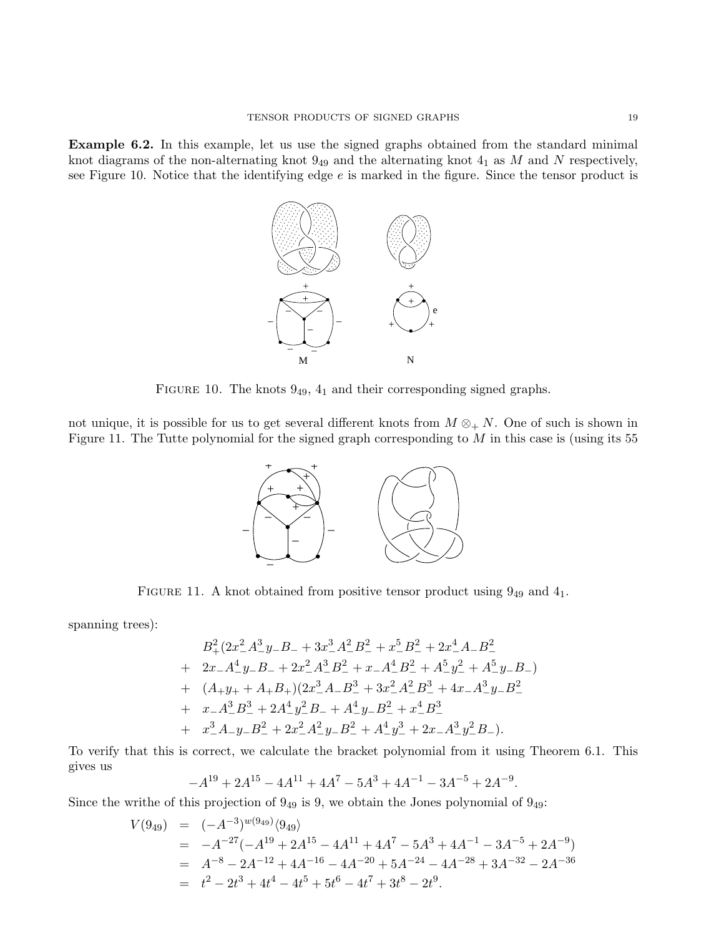Example 6.2. In this example, let us use the signed graphs obtained from the standard minimal knot diagrams of the non-alternating knot  $9_{49}$  and the alternating knot  $4_1$  as M and N respectively, see Figure 10. Notice that the identifying edge  $e$  is marked in the figure. Since the tensor product is



FIGURE 10. The knots  $9_{49}$ ,  $4_1$  and their corresponding signed graphs.

not unique, it is possible for us to get several different knots from  $M \otimes_{+} N$ . One of such is shown in Figure 11. The Tutte polynomial for the signed graph corresponding to  $M$  in this case is (using its 55



FIGURE 11. A knot obtained from positive tensor product using  $9_{49}$  and  $4_1$ .

spanning trees):

$$
B_{+}^{2}(2x_{-}^{2}A_{-}^{3}y_{-}B_{-} + 3x_{-}^{3}A_{-}^{2}B_{-}^{2} + x_{-}^{5}B_{-}^{2} + 2x_{-}^{4}A_{-}B_{-}^{2}
$$
  
+ 
$$
2x_{-}A_{-}^{4}y_{-}B_{-} + 2x_{-}^{2}A_{-}^{3}B_{-}^{2} + x_{-}A_{-}^{4}B_{-}^{2} + A_{-}^{5}y_{-}^{2} + A_{-}^{5}y_{-}B_{-})
$$
  
+ 
$$
(A_{+}y_{+} + A_{+}B_{+})(2x_{-}^{3}A_{-}B_{-}^{3} + 3x_{-}^{2}A_{-}^{2}B_{-}^{3} + 4x_{-}A_{-}^{3}y_{-}B_{-}^{2}
$$
  
+ 
$$
x_{-}A_{-}^{3}B_{-}^{3} + 2A_{-}^{4}y_{-}^{2}B_{-} + A_{-}^{4}y_{-}B_{-}^{2} + x_{-}^{4}B_{-}^{3}
$$
  
+ 
$$
x_{-}^{3}A_{-}y_{-}B_{-}^{2} + 2x_{-}^{2}A_{-}^{2}y_{-}B_{-}^{2} + A_{-}^{4}y_{-}^{3} + 2x_{-}A_{-}^{3}y_{-}^{2}B_{-}).
$$

To verify that this is correct, we calculate the bracket polynomial from it using Theorem 6.1. This gives us

$$
-A^{19} + 2A^{15} - 4A^{11} + 4A^7 - 5A^3 + 4A^{-1} - 3A^{-5} + 2A^{-9}.
$$

Since the writhe of this projection of  $9_{49}$  is 9, we obtain the Jones polynomial of  $9_{49}$ :

$$
V(9_{49}) = (-A^{-3})^{w(9_{49})} \langle 9_{49} \rangle
$$
  
= -A<sup>-27</sup>(-A<sup>19</sup> + 2A<sup>15</sup> - 4A<sup>11</sup> + 4A<sup>7</sup> - 5A<sup>3</sup> + 4A<sup>-1</sup> - 3A<sup>-5</sup> + 2A<sup>-9</sup>)  
= A<sup>-8</sup> - 2A<sup>-12</sup> + 4A<sup>-16</sup> - 4A<sup>-20</sup> + 5A<sup>-24</sup> - 4A<sup>-28</sup> + 3A<sup>-32</sup> - 2A<sup>-36</sup>  
= t<sup>2</sup> - 2t<sup>3</sup> + 4t<sup>4</sup> - 4t<sup>5</sup> + 5t<sup>6</sup> - 4t<sup>7</sup> + 3t<sup>8</sup> - 2t<sup>9</sup>.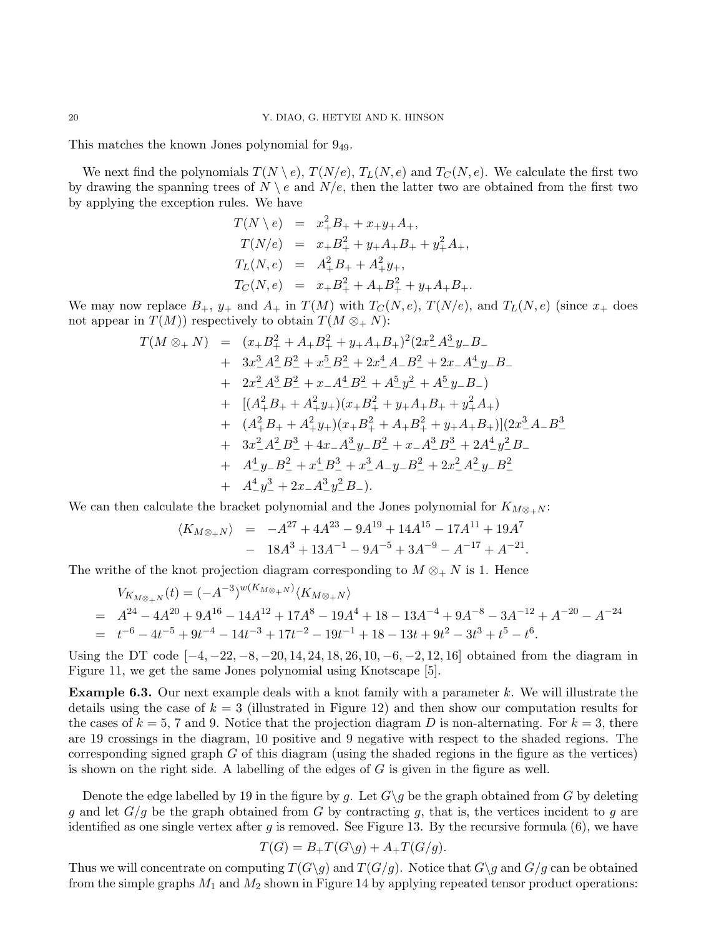This matches the known Jones polynomial for 949.

We next find the polynomials  $T(N \setminus e)$ ,  $T(N/e)$ ,  $T_L(N, e)$  and  $T_C(N, e)$ . We calculate the first two by drawing the spanning trees of  $N \setminus e$  and  $N/e$ , then the latter two are obtained from the first two by applying the exception rules. We have

$$
T(N \setminus e) = x_+^2 B_+ + x_+ y_+ A_+,
$$
  
\n
$$
T(N/e) = x_+ B_+^2 + y_+ A_+ B_+ + y_+^2 A_+,
$$
  
\n
$$
T_L(N, e) = A_+^2 B_+ + A_+^2 y_+,
$$
  
\n
$$
T_C(N, e) = x_+ B_+^2 + A_+ B_+^2 + y_+ A_+ B_+.
$$

We may now replace  $B_+$ ,  $y_+$  and  $A_+$  in  $T(M)$  with  $T_C(N, e)$ ,  $T(N/e)$ , and  $T_L(N, e)$  (since  $x_+$  does not appear in  $T(M)$  respectively to obtain  $T(M \otimes_{+} N)$ :

$$
T(M \otimes_+ N) = (x_+B_+^2 + A_+B_+^2 + y_+A_+B_+)^2(2x_-^2A_-^3y_-B_-+ 3x_-^3A_-^2B_-^2 + x_-^5B_-^2 + 2x_-^4A_-B_-^2 + 2x_-A_-^4y_-B_-+ 2x_-^2A_-^3B_-^2 + x_-A_-^4B_-^2 + A_-^5y_-^2 + A_-^5y_-B_-)+ [(A_+^2B_+ + A_+^2y_+)(x_+B_+^2 + y_+A_+B_+ + y_+^2A_+)+ (A_+^2B_+ + A_+^2y_+)(x_+B_+^2 + A_+B_+^2 + y_+A_+B_+)](2x_-^3A_-B_-^3+ 3x_-^2A_-^2B_-^3 + 4x_-A_-^3y_-B_-^2 + x_-A_-^3B_-^3 + 2A_-^4y_-^2B_-+ A_-^4y_-B_-^2 + x_-^4B_-^3 + x_-^3A_-y_-B_-^2 + 2x_-^2A_-^2y_-B_-^2+ A_-^4y_-^3 + 2x_-A_-^3y_-^2B_-).
$$

We can then calculate the bracket polynomial and the Jones polynomial for  $K_{M\otimes_+N}$ :

$$
\langle K_{M\otimes_+ N} \rangle = -A^{27} + 4A^{23} - 9A^{19} + 14A^{15} - 17A^{11} + 19A^7
$$
  
- 18A<sup>3</sup> + 13A<sup>-1</sup> - 9A<sup>-5</sup> + 3A<sup>-9</sup> - A<sup>-17</sup> + A<sup>-21</sup>.

The writhe of the knot projection diagram corresponding to  $M \otimes_+ N$  is 1. Hence

$$
V_{K_{M\otimes_{+}N}}(t) = (-A^{-3})^{w(K_{M\otimes_{+}N})} \langle K_{M\otimes_{+}N} \rangle
$$
  
=  $A^{24} - 4A^{20} + 9A^{16} - 14A^{12} + 17A^{8} - 19A^{4} + 18 - 13A^{-4} + 9A^{-8} - 3A^{-12} + A^{-20} - A^{-24}$   
=  $t^{-6} - 4t^{-5} + 9t^{-4} - 14t^{-3} + 17t^{-2} - 19t^{-1} + 18 - 13t + 9t^{2} - 3t^{3} + t^{5} - t^{6}$ .

Using the DT code  $[-4, -22, -8, -20, 14, 24, 18, 26, 10, -6, -2, 12, 16]$  obtained from the diagram in Figure 11, we get the same Jones polynomial using Knotscape [5].

**Example 6.3.** Our next example deals with a knot family with a parameter k. We will illustrate the details using the case of  $k = 3$  (illustrated in Figure 12) and then show our computation results for the cases of  $k = 5, 7$  and 9. Notice that the projection diagram D is non-alternating. For  $k = 3$ , there are 19 crossings in the diagram, 10 positive and 9 negative with respect to the shaded regions. The corresponding signed graph  $G$  of this diagram (using the shaded regions in the figure as the vertices) is shown on the right side. A labelling of the edges of  $G$  is given in the figure as well.

Denote the edge labelled by 19 in the figure by g. Let  $G\gtrsim g$  be the graph obtained from G by deleting g and let  $G/g$  be the graph obtained from G by contracting g, that is, the vertices incident to g are identified as one single vertex after q is removed. See Figure 13. By the recursive formula  $(6)$ , we have

$$
T(G) = B_+T(G\backslash g) + A_+T(G/g).
$$

Thus we will concentrate on computing  $T(G\g)$  and  $T(G/g)$ . Notice that  $G\g)$  and  $G/g$  can be obtained from the simple graphs  $M_1$  and  $M_2$  shown in Figure 14 by applying repeated tensor product operations: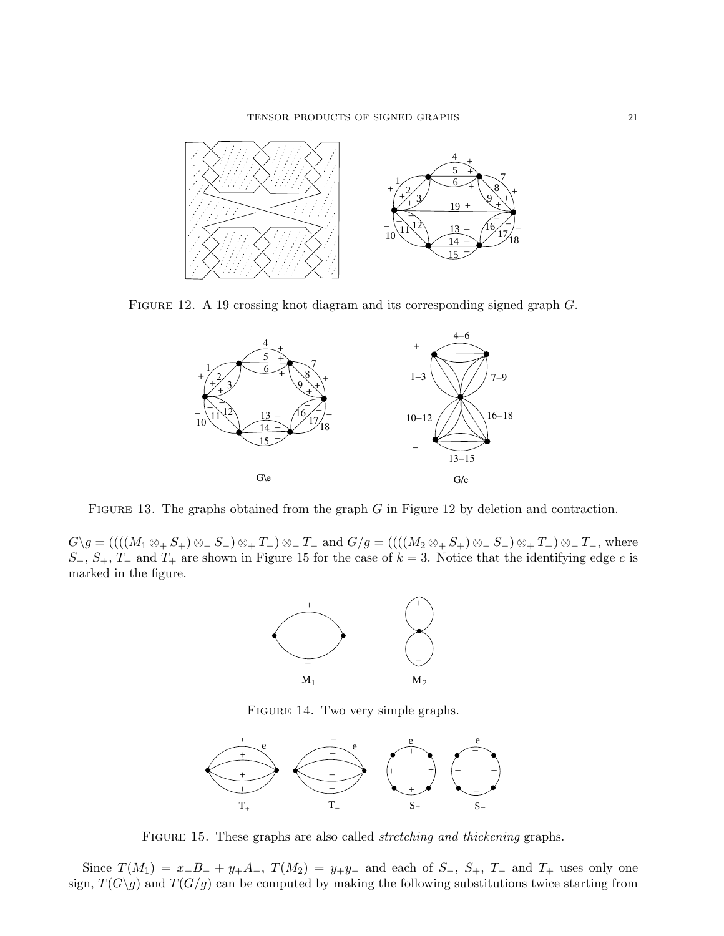

FIGURE 12. A 19 crossing knot diagram and its corresponding signed graph  $G$ .



FIGURE 13. The graphs obtained from the graph G in Figure 12 by deletion and contraction.

 $G\gtrsim g = (((M_1 \otimes_+ S_+) \otimes_- S_-) \otimes_+ T_+) \otimes_- T_-$  and  $G/g = (((M_2 \otimes_+ S_+) \otimes_- S_-) \otimes_+ T_+) \otimes_- T_-,$  where S<sub>-</sub>, S<sub>+</sub>, T<sub>-</sub> and T<sub>+</sub> are shown in Figure 15 for the case of  $k = 3$ . Notice that the identifying edge e is marked in the figure.



FIGURE 14. Two very simple graphs.



FIGURE 15. These graphs are also called *stretching and thickening* graphs.

Since  $T(M_1) = x_+B_- + y_+A_-, T(M_2) = y_+y_-$  and each of  $S_-, S_+, T_-$  and  $T_+$  uses only one sign,  $T(G\gtrsim g)$  and  $T(G/g)$  can be computed by making the following substitutions twice starting from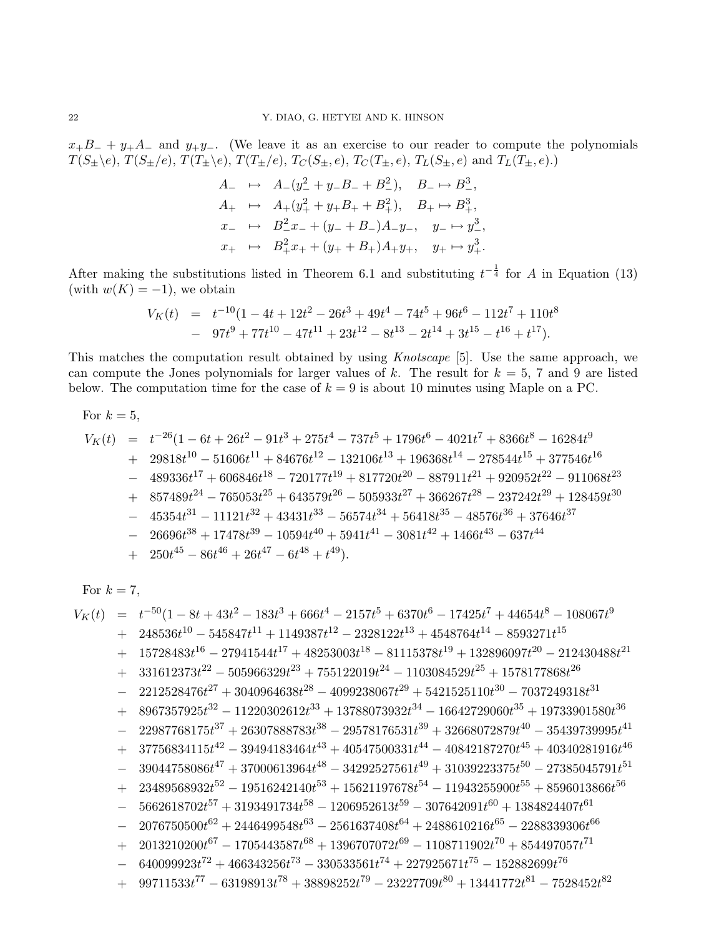$x_+B_- + y_+A_-$  and  $y_+y_-$ . (We leave it as an exercise to our reader to compute the polynomials  $T(S_{\pm}\backslash e), T(S_{\pm}/e), T(T_{\pm}\backslash e), T(T_{\pm}/e), T_C(S_{\pm}, e), T_C(T_{\pm}, e), T_L(S_{\pm}, e)$  and  $T_L(T_{\pm}, e).$ 

$$
A_{-} \rightarrow A_{-}(y_{-}^{2} + y_{-}B_{-} + B_{-}^{2}), \quad B_{-} \rightarrow B_{-}^{3},
$$
  
\n
$$
A_{+} \rightarrow A_{+}(y_{+}^{2} + y_{+}B_{+} + B_{+}^{2}), \quad B_{+} \rightarrow B_{+}^{3},
$$
  
\n
$$
x_{-} \rightarrow B_{-}^{2}x_{-} + (y_{-} + B_{-})A_{-}y_{-}, \quad y_{-} \rightarrow y_{-}^{3},
$$
  
\n
$$
x_{+} \rightarrow B_{+}^{2}x_{+} + (y_{+} + B_{+})A_{+}y_{+}, \quad y_{+} \rightarrow y_{+}^{3}.
$$

After making the substitutions listed in Theorem 6.1 and substituting  $t^{-\frac{1}{4}}$  for A in Equation (13) (with  $w(K) = -1$ ), we obtain

$$
V_K(t) = t^{-10}(1 - 4t + 12t^2 - 26t^3 + 49t^4 - 74t^5 + 96t^6 - 112t^7 + 110t^8
$$
  
- 97t<sup>9</sup> + 77t<sup>10</sup> - 47t<sup>11</sup> + 23t<sup>12</sup> - 8t<sup>13</sup> - 2t<sup>14</sup> + 3t<sup>15</sup> - t<sup>16</sup> + t<sup>17</sup>).

This matches the computation result obtained by using Knotscape [5]. Use the same approach, we can compute the Jones polynomials for larger values of k. The result for  $k = 5, 7$  and 9 are listed below. The computation time for the case of  $k = 9$  is about 10 minutes using Maple on a PC.

For 
$$
k = 5
$$
,  
\n
$$
V_K(t) = t^{-26}(1 - 6t + 26t^2 - 91t^3 + 275t^4 - 737t^5 + 1796t^6 - 4021t^7 + 8366t^8 - 16284t^9
$$
\n
$$
+ 29818t^{10} - 51606t^{11} + 84676t^{12} - 132106t^{13} + 196368t^{14} - 278544t^{15} + 377546t^{16}
$$
\n
$$
- 489336t^{17} + 606846t^{18} - 720177t^{19} + 817720t^{20} - 887911t^{21} + 920952t^{22} - 911068t^{23}
$$
\n
$$
+ 857489t^{24} - 765053t^{25} + 643579t^{26} - 505933t^{27} + 366267t^{28} - 237242t^{29} + 128459t^{30}
$$
\n
$$
- 45354t^{31} - 11121t^{32} + 43431t^{33} - 56574t^{34} + 56418t^{35} - 48576t^{36} + 37646t^{37}
$$
\n
$$
- 26696t^{38} + 17478t^{39} - 10594t^{40} + 5941t^{41} - 3081t^{42} + 1466t^{43} - 637t^{44}
$$
\n
$$
+ 250t^{45} - 86t^{46} + 26t^{47} - 6t^{48} + t^{49}).
$$

 $5 - 56$ 

 $\sim$  6  $\sim$  4

 $2^{18}$ 

For 
$$
k = 7
$$
,

$$
V_{K}(t) = t^{-50}(1-8t+43t^2-183t^3+666t^4-2157t^5+6370t^6-17425t^7+44654t^8-108067t^9\\+248536t^{10}-545847t^{11}+1149387t^{12}-2328122t^{13}+4548764t^{14}-8593271t^{15}\\+15728483t^{16}-27941544t^{17}+48253003t^{18}-81115378t^{19}+132896097t^{20}-212430488t^{21}\\+331612373t^{22}-505966329t^{23}+755122019t^{24}-1103084529t^{25}+1578177868t^{26}\\-2212528476t^{27}+3040964638t^{28}-4099238067t^{29}+5421525110t^{30}-7037249318t^{31}\\+8967357925t^{32}-11220302612t^{33}+13788073932t^{34}-16642729060t^{35}+19733901580t^{36}\\-22987768175t^{37}+26307888783t^{38}-29578176531t^{39}+32668072879t^{40}-35439739995t^{41}\\+37756834115t^{42}-39494183464t^{43}+40547500331t^{44}-40842187270t^{45}+40340281916t^{46}\\-39044758086t^{47}+37000613964t^{48}-34292527561t^{49}+31039223375t^{50}-27385045791t^{51}\\+23489568932t^{52}-19516242140t^{53}+1562
$$